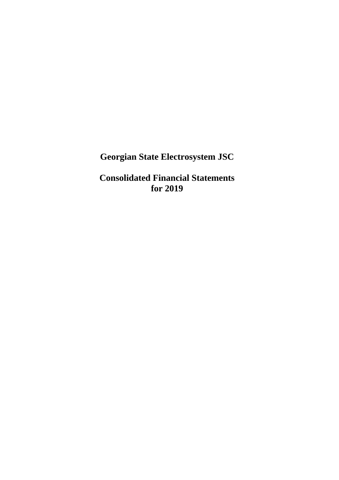**Georgian State Electrosystem JSC** 

**Consolidated Financial Statements for 2019**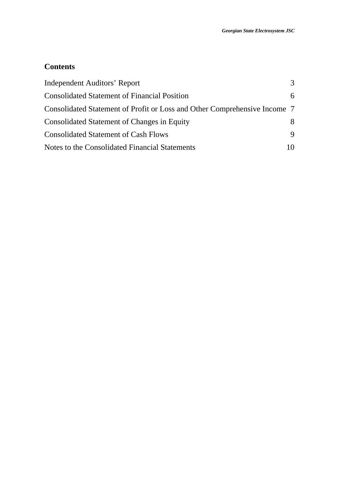# **Contents**

| Independent Auditors' Report                                              | 3 |
|---------------------------------------------------------------------------|---|
| <b>Consolidated Statement of Financial Position</b>                       | 6 |
| Consolidated Statement of Profit or Loss and Other Comprehensive Income 7 |   |
| Consolidated Statement of Changes in Equity                               | 8 |
| <b>Consolidated Statement of Cash Flows</b>                               | 9 |
| Notes to the Consolidated Financial Statements                            |   |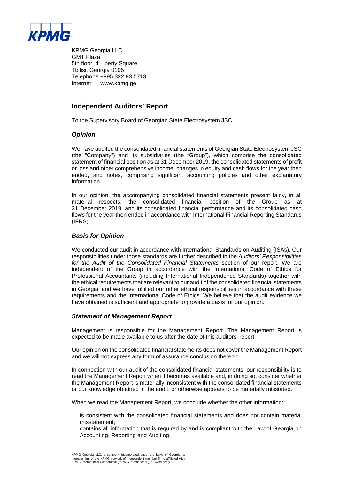

KPMG Georgia LLC GMT Plaza, 5th floor, 4 Liberty Square Tbilisi, Georgia 0105 Telephone +995 322 93 5713 Internet www.kpmg.ge

# **Independent Auditors' Report**

To the Supervisory Board of Georgian State Electrosystem JSC

#### *Opinion*

We have audited the consolidated financial statements of Georgian State Electrosystem JSC (the "Company") and its subsidiaries (the "Group"), which comprise the consolidated statement of financial position as at 31 December 2019, the consolidated statements of profit or loss and other comprehensive income, changes in equity and cash flows for the year then ended, and notes, comprising significant accounting policies and other explanatory information.

In our opinion, the accompanying consolidated financial statements present fairly, in all material respects, the consolidated financial position of the Group as at 31 December 2019, and its consolidated financial performance and its consolidated cash flows for the year then ended in accordance with International Financial Reporting Standards (IFRS).

### *Basis for Opinion*

We conducted our audit in accordance with International Standards on Auditing (ISAs). Our responsibilities under those standards are further described in the *Auditors' Responsibilities for the Audit of the Consolidated Financial Statements* section of our report. We are independent of the Group in accordance with the International Code of Ethics for Professional Accountants (including International Independence Standards) together with the ethical requirements that are relevant to our audit of the consolidated financial statements in Georgia, and we have fulfilled our other ethical responsibilities in accordance with these requirements and the International Code of Ethics. We believe that the audit evidence we have obtained is sufficient and appropriate to provide a basis for our opinion.

#### *Statement of Management Report*

Management is responsible for the Management Report. The Management Report is expected to be made available to us after the date of this auditors' report.

Our opinion on the consolidated financial statements does not cover the Management Report and we will not express any form of assurance conclusion thereon.

In connection with our audit of the consolidated financial statements, our responsibility is to read the Management Report when it becomes available and, in doing so, consider whether the Management Report is materially inconsistent with the consolidated financial statements or our knowledge obtained in the audit, or otherwise appears to be materially misstated.

When we read the Management Report, we conclude whether the other information:

- $-$  is consistent with the consolidated financial statements and does not contain material misstatement;
- $-$  contains all information that is required by and is compliant with the Law of Georgia on Accounting, Reporting and Auditing.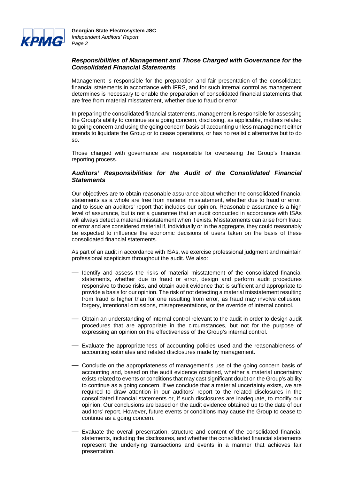

**Georgian State Electrosystem JSC**  *Independent Auditors' Report Page 2* 

### *Responsibilities of Management and Those Charged with Governance for the Consolidated Financial Statements*

Management is responsible for the preparation and fair presentation of the consolidated financial statements in accordance with IFRS, and for such internal control as management determines is necessary to enable the preparation of consolidated financial statements that are free from material misstatement, whether due to fraud or error.

In preparing the consolidated financial statements, management is responsible for assessing the Group's ability to continue as a going concern, disclosing, as applicable, matters related to going concern and using the going concern basis of accounting unless management either intends to liquidate the Group or to cease operations, or has no realistic alternative but to do so.

Those charged with governance are responsible for overseeing the Group's financial reporting process.

### *Auditors' Responsibilities for the Audit of the Consolidated Financial Statements*

Our objectives are to obtain reasonable assurance about whether the consolidated financial statements as a whole are free from material misstatement, whether due to fraud or error, and to issue an auditors' report that includes our opinion. Reasonable assurance is a high level of assurance, but is not a guarantee that an audit conducted in accordance with ISAs will always detect a material misstatement when it exists. Misstatements can arise from fraud or error and are considered material if, individually or in the aggregate, they could reasonably be expected to influence the economic decisions of users taken on the basis of these consolidated financial statements.

As part of an audit in accordance with ISAs, we exercise professional judgment and maintain professional scepticism throughout the audit. We also:

- Identify and assess the risks of material misstatement of the consolidated financial statements, whether due to fraud or error, design and perform audit procedures responsive to those risks, and obtain audit evidence that is sufficient and appropriate to provide a basis for our opinion. The risk of not detecting a material misstatement resulting from fraud is higher than for one resulting from error, as fraud may involve collusion, forgery, intentional omissions, misrepresentations, or the override of internal control.
- Obtain an understanding of internal control relevant to the audit in order to design audit procedures that are appropriate in the circumstances, but not for the purpose of expressing an opinion on the effectiveness of the Group's internal control.
- Evaluate the appropriateness of accounting policies used and the reasonableness of accounting estimates and related disclosures made by management.
- Conclude on the appropriateness of management's use of the going concern basis of accounting and, based on the audit evidence obtained, whether a material uncertainty exists related to events or conditions that may cast significant doubt on the Group's ability to continue as a going concern. If we conclude that a material uncertainty exists, we are required to draw attention in our auditors' report to the related disclosures in the consolidated financial statements or, if such disclosures are inadequate, to modify our opinion. Our conclusions are based on the audit evidence obtained up to the date of our auditors' report. However, future events or conditions may cause the Group to cease to continue as a going concern.
- Evaluate the overall presentation, structure and content of the consolidated financial statements, including the disclosures, and whether the consolidated financial statements represent the underlying transactions and events in a manner that achieves fair presentation.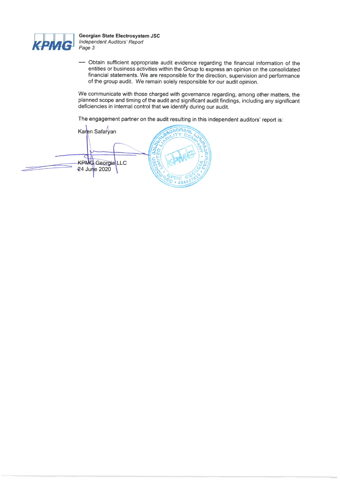

Georgian State Electrosystem JSC Independent Auditors' Report Page 3

- Obtain sufficient appropriate audit evidence regarding the financial information of the entities or business activities within the Group to express an opinion on the consolidated financial statements. We are responsible for the direction, supervision and performance of the group audit. We remain solely responsible for our audit opinion.

We communicate with those charged with governance regarding, among other matters, the planned scope and timing of the audit and significant audit findings, including any significant deficiencies in internal control that we identify during our audit.

The engagement partner on the audit resulting in this independent auditors' report is:

ARMISMI Karen Safaryan **KPMG** Georgia LLC 24 June 2020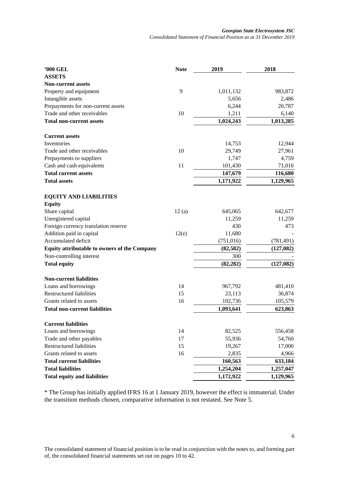| '000 GEL                                            | <b>Note</b> | 2019       | 2018       |
|-----------------------------------------------------|-------------|------------|------------|
| <b>ASSETS</b>                                       |             |            |            |
| <b>Non-current assets</b>                           |             |            |            |
| Property and equipment                              | 9           | 1,011,132  | 983,872    |
| Intangible assets                                   |             | 5,656      | 2,486      |
| Prepayments for non-current assets                  |             | 6,244      | 20,787     |
| Trade and other receivables                         | 10          | 1,211      | 6,140      |
| <b>Total non-current assets</b>                     |             | 1,024,243  | 1,013,285  |
| <b>Current assets</b>                               |             |            |            |
| Inventories                                         |             | 14,753     | 12,944     |
| Trade and other receivables                         | 10          | 29,749     | 27,961     |
| Prepayments to suppliers                            |             | 1,747      | 4,759      |
| Cash and cash equivalents                           | 11          | 101,430    | 71,016     |
| <b>Total current assets</b>                         |             | 147,679    | 116,680    |
| <b>Total assets</b>                                 |             | 1,171,922  | 1,129,965  |
| <b>EQUITY AND LIABILITIES</b>                       |             |            |            |
| <b>Equity</b>                                       |             |            |            |
| Share capital                                       | 12(a)       | 645,065    | 642,677    |
| Unregistered capital                                |             | 11,259     | 11,259     |
| Foreign currency translation reserve                |             | 430        | 473        |
| Addition paid in capital                            | 12(e)       | 11,680     |            |
| Accumulated deficit                                 |             | (751, 016) | (781, 491) |
| <b>Equity attributable to owners of the Company</b> |             | (82, 582)  | (127, 082) |
| Non-controlling interest                            |             | 300        |            |
| <b>Total equity</b>                                 |             | (82, 282)  | (127, 082) |
| <b>Non-current liabilities</b>                      |             |            |            |
| Loans and borrowings                                | 14          | 967,792    | 481,410    |
| <b>Restructured liabilities</b>                     | 15          | 23,113     | 36,874     |
| Grants related to assets                            | 16          | 102,736    | 105,579    |
| <b>Total non-current liabilities</b>                |             | 1,093,641  | 623,863    |
| <b>Current liabilities</b>                          |             |            |            |
| Loans and borrowings                                | 14          | 82,525     | 556,458    |
| Trade and other payables                            | 17          | 55,936     | 54,760     |
| <b>Restructured liabilities</b>                     | 15          | 19,267     | 17,000     |
| Grants related to assets                            | 16          | 2,835      | 4,966      |
| <b>Total current liabilities</b>                    |             | 160,563    | 633,184    |
| <b>Total liabilities</b>                            |             | 1,254,204  | 1,257,047  |
| <b>Total equity and liabilities</b>                 |             | 1,172,922  | 1,129,965  |

\* The Group has initially applied IFRS 16 at 1 January 2019, however the effect is immaterial. Under the transition methods chosen, comparative information is not restated. See Note 5.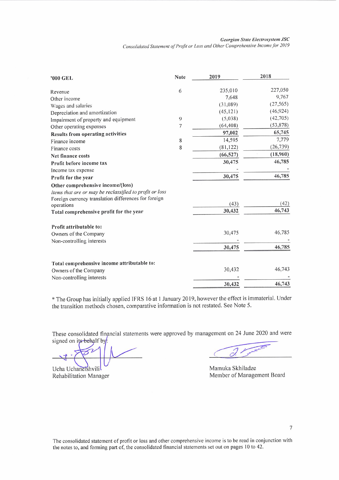# Georgian State Electrosystem JSC

Consolidated Statement of Profit or Loss and Other Comprehensive Income for 2019

| '000 GEL                                                                                                                                             | Note | 2019             | 2018             |
|------------------------------------------------------------------------------------------------------------------------------------------------------|------|------------------|------------------|
| Revenue                                                                                                                                              | 6    | 235,010          | 227,050          |
| Other income                                                                                                                                         |      | 7,648            | 9,767            |
| Wages and salaries                                                                                                                                   |      | (31,089)         | (27, 565)        |
| Depreciation and amortization                                                                                                                        |      | (45, 121)        | (46, 924)        |
| Impairment of property and equipment                                                                                                                 | 9    | (5,038)          | (42,705)         |
| Other operating expenses                                                                                                                             | 7    | (64, 408)        | (53, 878)        |
| <b>Results from operating activities</b>                                                                                                             |      | 97,002           | 65,745           |
| Finance income                                                                                                                                       | 8    | 14,595           | 7,779            |
| Finance costs                                                                                                                                        | 8    | (81, 122)        | (26, 739)        |
| Net finance costs                                                                                                                                    |      | (66, 527)        | (18,960)         |
| Profit before income tax                                                                                                                             |      | 30,475           | 46,785           |
| Income tax expense                                                                                                                                   |      |                  |                  |
| Profit for the year                                                                                                                                  |      | 30,475           | 46,785           |
| Other comprehensive income/(loss)<br>Items that are or may be reclassified to profit or loss<br>Foreign currency translation differences for foreign |      | (43)             | (42)             |
| operations<br>Total comprehensive profit for the year                                                                                                |      | 30,432           | 46,743           |
| Profit attributable to:<br>Owners of the Company<br>Non-controlling interests                                                                        |      | 30,475<br>30,475 | 46,785<br>46,785 |
| Total comprehensive income attributable to:<br>Owners of the Company<br>Non-controlling interests                                                    |      | 30,432<br>30,432 | 46,743<br>46,743 |

\* The Group has initially applied IFRS 16 at 1 January 2019, however the effect is immaterial. Under the transition methods chosen, comparative information is not restated. See Note 5.

These consolidated financial statements were approved by management on 24 June 2020 and were signed on its behalf by

Ucha Uchaneishvili

Rehabilitation Manager

Mamuka Skhiladze Member of Management Board

The consolidated statement of profit or loss and other comprehensive income is to be read in conjunction with the notes to, and forming part of, the consolidated financial statements set out on pages 10 to 42.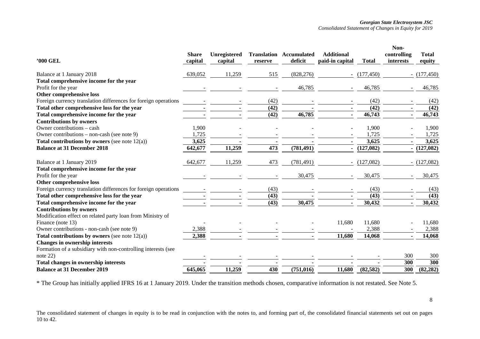| '000 GEL                                                        | <b>Share</b><br>capital | Unregistered<br>capital | <b>Translation</b><br>reserve | Accumulated<br>deficit | <b>Additional</b><br>paid-in capital | <b>Total</b> | Non-<br>controlling<br>interests | <b>Total</b><br>equity |
|-----------------------------------------------------------------|-------------------------|-------------------------|-------------------------------|------------------------|--------------------------------------|--------------|----------------------------------|------------------------|
| Balance at 1 January 2018                                       | 639,052                 | 11,259                  | 515                           | (828, 276)             |                                      | (177, 450)   |                                  | (177, 450)             |
| Total comprehensive income for the year                         |                         |                         |                               |                        |                                      |              |                                  |                        |
| Profit for the year                                             |                         |                         |                               | 46,785                 |                                      | 46,785       |                                  | 46,785                 |
| Other comprehensive loss                                        |                         |                         |                               |                        |                                      |              |                                  |                        |
| Foreign currency translation differences for foreign operations |                         |                         | (42)                          |                        |                                      | (42)         |                                  | (42)                   |
| Total other comprehensive loss for the year                     |                         |                         | (42)                          |                        |                                      | (42)         |                                  | (42)                   |
| Total comprehensive income for the year                         |                         |                         | (42)                          | 46,785                 |                                      | 46,743       |                                  | 46,743                 |
| <b>Contributions by owners</b>                                  |                         |                         |                               |                        |                                      |              |                                  |                        |
| Owner contributions – cash                                      | 1,900                   |                         |                               |                        |                                      | 1,900        |                                  | 1,900                  |
| Owner contributions – non-cash (see note 9)                     | 1,725                   |                         |                               |                        |                                      | 1,725        |                                  | 1,725                  |
| Total contributions by owners (see note $12(a)$ )               | 3,625                   |                         |                               |                        |                                      | 3,625        |                                  | 3,625                  |
| <b>Balance at 31 December 2018</b>                              | 642,677                 | 11,259                  | 473                           | (781, 491)             |                                      | (127, 082)   |                                  | (127, 082)             |
| Balance at 1 January 2019                                       | 642,677                 | 11,259                  | 473                           | (781, 491)             |                                      | (127,082)    |                                  | (127,082)              |
| Total comprehensive income for the year                         |                         |                         |                               |                        |                                      |              |                                  |                        |
| Profit for the year                                             |                         |                         |                               | 30,475                 |                                      | 30,475       |                                  | 30,475                 |
| Other comprehensive loss                                        |                         |                         |                               |                        |                                      |              |                                  |                        |
| Foreign currency translation differences for foreign operations |                         |                         | (43)                          |                        |                                      | (43)         |                                  | (43)                   |
| Total other comprehensive loss for the year                     |                         |                         | (43)                          |                        |                                      | (43)         |                                  | (43)                   |
| Total comprehensive income for the year                         |                         |                         | (43)                          | 30,475                 |                                      | 30,432       |                                  | 30,432                 |
| <b>Contributions by owners</b>                                  |                         |                         |                               |                        |                                      |              |                                  |                        |
| Modification effect on related party loan from Ministry of      |                         |                         |                               |                        |                                      |              |                                  |                        |
| Finance (note 13)                                               |                         |                         |                               |                        | 11,680                               | 11,680       |                                  | 11,680                 |
| Owner contributions - non-cash (see note 9)                     | 2,388                   |                         |                               |                        |                                      | 2,388        |                                  | 2,388                  |
| Total contributions by owners (see note $12(a)$ )               | 2,388                   |                         |                               |                        | 11,680                               | 14,068       |                                  | 14,068                 |
| <b>Changes in ownership interests</b>                           |                         |                         |                               |                        |                                      |              |                                  |                        |
| Formation of a subsidiary with non-controlling interests (see   |                         |                         |                               |                        |                                      |              |                                  |                        |
| note $22$ )                                                     |                         |                         |                               |                        |                                      |              | 300                              | 300                    |
| Total changes in ownership interests                            |                         |                         |                               |                        |                                      |              | 300                              | 300                    |
| <b>Balance at 31 December 2019</b>                              | 645,065                 | 11,259                  | 430                           | (751, 016)             | 11,680                               | (82, 582)    | 300                              | (82, 282)              |

\* The Group has initially applied IFRS 16 at 1 January 2019. Under the transition methods chosen, comparative information is not restated. See Note 5.

The consolidated statement of changes in equity is to be read in conjunction with the notes to, and forming part of, the consolidated financial statements set out on pages 10 to 42.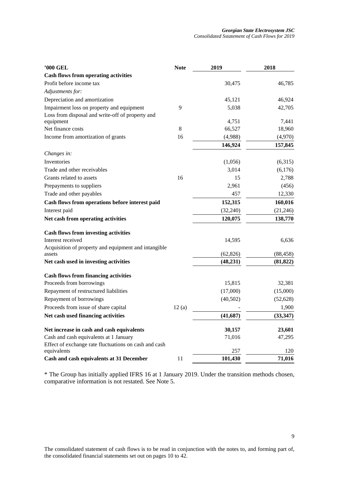| '000 GEL                                                             | <b>Note</b> | 2019      | 2018      |
|----------------------------------------------------------------------|-------------|-----------|-----------|
| <b>Cash flows from operating activities</b>                          |             |           |           |
| Profit before income tax                                             |             | 30,475    | 46,785    |
| Adjustments for:                                                     |             |           |           |
| Depreciation and amortization                                        |             | 45,121    | 46,924    |
| Impairment loss on property and equipment                            | 9           | 5,038     | 42,705    |
| Loss from disposal and write-off of property and                     |             |           |           |
| equipment                                                            |             | 4,751     | 7,441     |
| Net finance costs                                                    | 8           | 66,527    | 18,960    |
| Income from amortization of grants                                   | 16          | (4,988)   | (4,970)   |
|                                                                      |             | 146,924   | 157,845   |
| Changes in:                                                          |             |           |           |
| Inventories                                                          |             | (1,056)   | (6,315)   |
| Trade and other receivables                                          |             | 3,014     | (6,176)   |
| Grants related to assets                                             | 16          | 15        | 2,788     |
| Prepayments to suppliers                                             |             | 2,961     | (456)     |
| Trade and other payables                                             |             | 457       | 12,330    |
| Cash flows from operations before interest paid                      |             | 152,315   | 160,016   |
| Interest paid                                                        |             | (32, 240) | (21, 246) |
| Net cash from operating activities                                   |             | 120,075   | 138,770   |
| <b>Cash flows from investing activities</b>                          |             |           |           |
| Interest received                                                    |             | 14,595    | 6,636     |
| Acquisition of property and equipment and intangible                 |             |           |           |
| assets                                                               |             | (62, 826) | (88, 458) |
| Net cash used in investing activities                                |             | (48, 231) | (81, 822) |
| <b>Cash flows from financing activities</b>                          |             |           |           |
| Proceeds from borrowings                                             |             | 15,815    | 32,381    |
| Repayment of restructured liabilities                                |             | (17,000)  | (15,000)  |
| Repayment of borrowings                                              |             | (40, 502) | (52, 628) |
| Proceeds from issue of share capital                                 | 12(a)       |           | 1,900     |
| Net cash used financing activities                                   |             | (41, 687) | (33, 347) |
| Net increase in cash and cash equivalents                            |             | 30,157    | 23,601    |
| Cash and cash equivalents at 1 January                               |             | 71,016    | 47,295    |
| Effect of exchange rate fluctuations on cash and cash<br>equivalents |             | 257       | 120       |
| Cash and cash equivalents at 31 December                             | 11          | 101,430   | 71,016    |

\* The Group has initially applied IFRS 16 at 1 January 2019. Under the transition methods chosen, comparative information is not restated. See Note 5.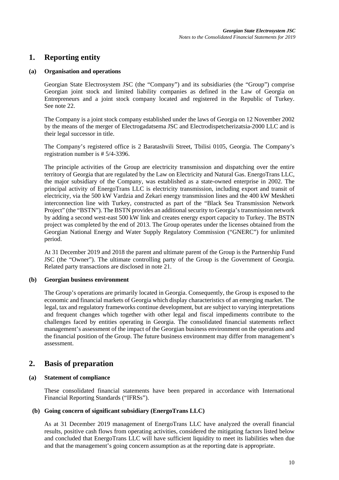# **1. Reporting entity**

### **(a) Organisation and operations**

Georgian State Electrosystem JSC (the "Company") and its subsidiaries (the "Group") comprise Georgian joint stock and limited liability companies as defined in the Law of Georgia on Entrepreneurs and a joint stock company located and registered in the Republic of Turkey. See note 22.

The Company is a joint stock company established under the laws of Georgia on 12 November 2002 by the means of the merger of Electrogadatsema JSC and Electrodispetcherizatsia-2000 LLC and is their legal successor in title.

The Company's registered office is 2 Baratashvili Street, Tbilisi 0105, Georgia. The Company's registration number is # 5/4-3396.

The principle activities of the Group are electricity transmission and dispatching over the entire territory of Georgia that are regulated by the Law on Electricity and Natural Gas. EnergoTrans LLC, the major subsidiary of the Company, was established as a state-owned enterprise in 2002. The principal activity of EnergoTrans LLC is electricity transmission, including export and transit of electricity, via the 500 kW Vardzia and Zekari energy transmission lines and the 400 kW Meskheti interconnection line with Turkey, constructed as part of the "Black Sea Transmission Network Project" (the "BSTN"). The BSTN provides an additional security to Georgia's transmission network by adding a second west-east 500 kW link and creates energy export capacity to Turkey. The BSTN project was completed by the end of 2013. The Group operates under the licenses obtained from the Georgian National Energy and Water Supply Regulatory Commission ("GNERC") for unlimited period.

At 31 December 2019 and 2018 the parent and ultimate parent of the Group is the Partnership Fund JSC (the "Owner"). The ultimate controlling party of the Group is the Government of Georgia. Related party transactions are disclosed in note 21.

#### **(b) Georgian business environment**

The Group's operations are primarily located in Georgia. Consequently, the Group is exposed to the economic and financial markets of Georgia which display characteristics of an emerging market. The legal, tax and regulatory frameworks continue development, but are subject to varying interpretations and frequent changes which together with other legal and fiscal impediments contribute to the challenges faced by entities operating in Georgia. The consolidated financial statements reflect management's assessment of the impact of the Georgian business environment on the operations and the financial position of the Group. The future business environment may differ from management's assessment.

# **2. Basis of preparation**

# **(a) Statement of compliance**

These consolidated financial statements have been prepared in accordance with International Financial Reporting Standards ("IFRSs").

# **(b) Going concern of significant subsidiary (EnergoTrans LLC)**

As at 31 December 2019 management of EnergoTrans LLC have analyzed the overall financial results, positive cash flows from operating activities, considered the mitigating factors listed below and concluded that EnergoTrans LLC will have sufficient liquidity to meet its liabilities when due and that the management's going concern assumption as at the reporting date is appropriate.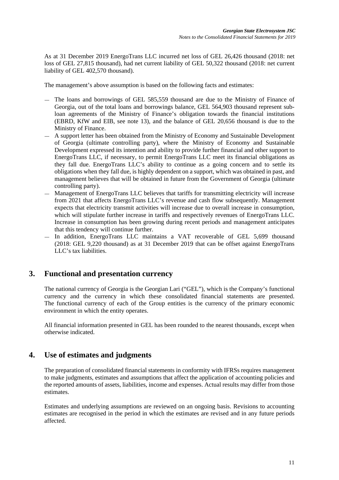As at 31 December 2019 EnergoTrans LLC incurred net loss of GEL 26,426 thousand (2018: net loss of GEL 27,815 thousand), had net current liability of GEL 50,322 thousand (2018: net current liability of GEL 402,570 thousand).

The management's above assumption is based on the following facts and estimates:

- The loans and borrowings of GEL 585,559 thousand are due to the Ministry of Finance of Georgia, out of the total loans and borrowings balance, GEL 564,903 thousand represent subloan agreements of the Ministry of Finance's obligation towards the financial institutions (EBRD, KfW and EIB, see note 13), and the balance of GEL 20,656 thousand is due to the Ministry of Finance.
- \_ A support letter has been obtained from the Ministry of Economy and Sustainable Development of Georgia (ultimate controlling party), where the Ministry of Economy and Sustainable Development expressed its intention and ability to provide further financial and other support to EnergoTrans LLC, if necessary, to permit EnergoTrans LLC meet its financial obligations as they fall due. EnergoTrans LLC's ability to continue as a going concern and to settle its obligations when they fall due, is highly dependent on a support, which was obtained in past, and management believes that will be obtained in future from the Government of Georgia (ultimate controlling party).
- \_ Management of EnergoTrans LLC believes that tariffs for transmitting electricity will increase from 2021 that affects EnergoTrans LLC's revenue and cash flow subsequently. Management expects that electricity transmit activities will increase due to overall increase in consumption, which will stipulate further increase in tariffs and respectively revenues of EnergoTrans LLC. Increase in consumption has been growing during recent periods and management anticipates that this tendency will continue further.
- In addition, EnergoTrans LLC maintains a VAT recoverable of GEL 5,699 thousand (2018: GEL 9,220 thousand) as at 31 December 2019 that can be offset against EnergoTrans LLC's tax liabilities.

# **3. Functional and presentation currency**

The national currency of Georgia is the Georgian Lari ("GEL"), which is the Company's functional currency and the currency in which these consolidated financial statements are presented. The functional currency of each of the Group entities is the currency of the primary economic environment in which the entity operates.

All financial information presented in GEL has been rounded to the nearest thousands, except when otherwise indicated.

# **4. Use of estimates and judgments**

The preparation of consolidated financial statements in conformity with IFRSs requires management to make judgments, estimates and assumptions that affect the application of accounting policies and the reported amounts of assets, liabilities, income and expenses. Actual results may differ from those estimates.

Estimates and underlying assumptions are reviewed on an ongoing basis. Revisions to accounting estimates are recognised in the period in which the estimates are revised and in any future periods affected.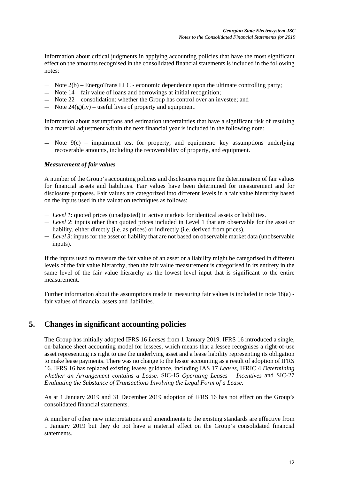Information about critical judgments in applying accounting policies that have the most significant effect on the amounts recognised in the consolidated financial statements is included in the following notes:

- $\sim$  Note 2(b) EnergoTrans LLC economic dependence upon the ultimate controlling party;
- $\overline{\phantom{a}}$  Note 14 fair value of loans and borrowings at initial recognition;
- \_ Note 22 consolidation: whether the Group has control over an investee; and
- $\overline{\phantom{a}}$  Note 24(g)(iv) useful lives of property and equipment.

Information about assumptions and estimation uncertainties that have a significant risk of resulting in a material adjustment within the next financial year is included in the following note:

 $-$  Note  $9(c)$  – impairment test for property, and equipment: key assumptions underlying recoverable amounts, including the recoverability of property, and equipment.

#### *Measurement of fair values*

A number of the Group's accounting policies and disclosures require the determination of fair values for financial assets and liabilities. Fair values have been determined for measurement and for disclosure purposes. Fair values are categorized into different levels in a fair value hierarchy based on the inputs used in the valuation techniques as follows:

- \_ *Level 1*: quoted prices (unadjusted) in active markets for identical assets or liabilities.
- \_ *Level 2*: inputs other than quoted prices included in Level 1 that are observable for the asset or liability, either directly (i.e. as prices) or indirectly (i.e. derived from prices).
- \_ *Level 3*: inputs for the asset or liability that are not based on observable market data (unobservable inputs).

If the inputs used to measure the fair value of an asset or a liability might be categorised in different levels of the fair value hierarchy, then the fair value measurement is categorised in its entirety in the same level of the fair value hierarchy as the lowest level input that is significant to the entire measurement.

Further information about the assumptions made in measuring fair values is included in note 18(a) fair values of financial assets and liabilities.

# **5. Changes in significant accounting policies**

The Group has initially adopted IFRS 16 *Lease*s from 1 January 2019. IFRS 16 introduced a single, on-balance sheet accounting model for lessees, which means that a lessee recognises a right-of-use asset representing its right to use the underlying asset and a lease liability representing its obligation to make lease payments. There was no change to the lessor accounting as a result of adoption of IFRS 16. IFRS 16 has replaced existing leases guidance, including IAS 17 *Leases*, IFRIC 4 *Determining whether an Arrangement contains a Lease*, SIC-15 *Operating Leases – Incentives* and SIC-27 *Evaluating the Substance of Transactions Involving the Legal Form of a Lease*.

As at 1 January 2019 and 31 December 2019 adoption of IFRS 16 has not effect on the Group's consolidated financial statements.

A number of other new interpretations and amendments to the existing standards are effective from 1 January 2019 but they do not have a material effect on the Group's consolidated financial statements.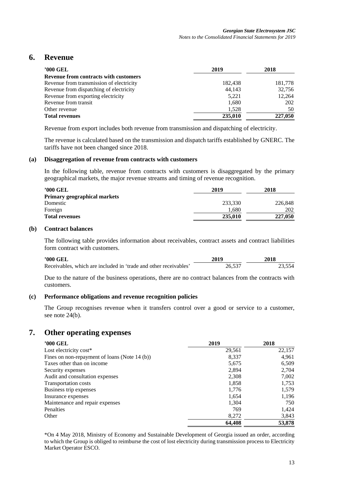# **6. Revenue**

| '000 GEL                                     | 2019    | 2018    |
|----------------------------------------------|---------|---------|
| <b>Revenue from contracts with customers</b> |         |         |
| Revenue from transmission of electricity     | 182,438 | 181,778 |
| Revenue from dispatching of electricity      | 44.143  | 32,756  |
| Revenue from exporting electricity           | 5,221   | 12.264  |
| Revenue from transit                         | 1,680   | 202     |
| Other revenue                                | 1,528   | 50      |
| <b>Total revenues</b>                        | 235,010 | 227,050 |

Revenue from export includes both revenue from transmission and dispatching of electricity.

The revenue is calculated based on the transmission and dispatch tariffs established by GNERC. The tariffs have not been changed since 2018.

#### **(a) Disaggregation of revenue from contracts with customers**

In the following table, revenue from contracts with customers is disaggregated by the primary geographical markets, the major revenue streams and timing of revenue recognition.

| '000 GEL                            | 2019    | 2018    |
|-------------------------------------|---------|---------|
| <b>Primary geographical markets</b> |         |         |
| Domestic                            | 233,330 | 226,848 |
| Foreign                             | 1.680   | 202     |
| <b>Total revenues</b>               | 235,010 | 227,050 |

#### **(b) Contract balances**

The following table provides information about receivables, contract assets and contract liabilities form contract with customers.

| '000 GEL                                                         | 2019   | 2018   |
|------------------------------------------------------------------|--------|--------|
| Receivables, which are included in 'trade and other receivables' | 26.537 | 23.554 |

Due to the nature of the business operations, there are no contract balances from the contracts with customers.

### **(c) Performance obligations and revenue recognition policies**

The Group recognises revenue when it transfers control over a good or service to a customer, see note 24(b).

# **7. Other operating expenses**

| '000 GEL                                      | 2019   | 2018   |
|-----------------------------------------------|--------|--------|
| Lost electricity cost*                        | 29,561 | 22,157 |
| Fines on non-repayment of loans (Note 14 (b)) | 8,337  | 4,961  |
| Taxes other than on income                    | 5,675  | 6,509  |
| Security expenses                             | 2,894  | 2,704  |
| Audit and consultation expenses               | 2,308  | 7,002  |
| <b>Transportation costs</b>                   | 1,858  | 1,753  |
| Business trip expenses                        | 1,776  | 1,579  |
| Insurance expenses                            | 1,654  | 1,196  |
| Maintenance and repair expenses               | 1,304  | 750    |
| Penalties                                     | 769    | 1,424  |
| Other                                         | 8,272  | 3,843  |
|                                               | 64,408 | 53,878 |

\*On 4 May 2018, Ministry of Economy and Sustainable Development of Georgia issued an order, according to which the Group is obliged to reimburse the cost of lost electricity during transmission process to Electricity Market Operator ESCO.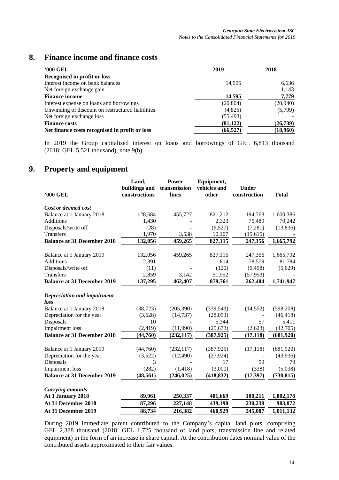# **8. Finance income and finance costs**

| '000 GEL                                          | 2019      | 2018      |
|---------------------------------------------------|-----------|-----------|
| Recognised in profit or loss                      |           |           |
| Interest income on bank balances                  | 14,595    | 6,636     |
| Net foreign exchange gain                         |           | 1,143     |
| <b>Finance income</b>                             | 14,595    | 7,779     |
| Interest expense on loans and borrowings          | (20, 804) | (20,940)  |
| Unwinding of discount on restructured liabilities | (4,825)   | (5,799)   |
| Net foreign exchange loss                         | (55, 493) |           |
| <b>Finance costs</b>                              | (81, 122) | (26, 739) |
| Net finance costs recognised in profit or loss    | (66, 527) | (18,960)  |

In 2019 the Group capitalised interest on loans and borrowings of GEL 6,813 thousand (2018: GEL 5,521 thousand), note 9(b).

# **9. Property and equipment**

| '000 GEL                           | Land,<br>buildings and<br>constructions | Power<br>transmission<br>lines | Equipment,<br>vehicles and<br>other | <b>Under</b><br>construction | <b>Total</b> |
|------------------------------------|-----------------------------------------|--------------------------------|-------------------------------------|------------------------------|--------------|
| Cost or deemed cost                |                                         |                                |                                     |                              |              |
| Balance at 1 January 2018          | 128,684                                 | 455,727                        | 821,212                             | 194,763                      | 1,600,386    |
| Additions                          | 1,430                                   |                                | 2,323                               | 75,489                       | 79,242       |
| Disposals/write off                | (28)                                    |                                | (6,527)                             | (7,281)                      | (13,836)     |
| Transfers                          | 1,970                                   | 3,538                          | 10,107                              | (15, 615)                    |              |
| <b>Balance at 31 December 2018</b> | 132,056                                 | 459,265                        | 827,115                             | 247,356                      | 1,665,792    |
| Balance at 1 January 2019          | 132,056                                 | 459,265                        | 827,115                             | 247,356                      | 1,665,792    |
| Additions                          | 2,391                                   |                                | 814                                 | 78,579                       | 81,784       |
| Disposals/write off                | (11)                                    |                                | (120)                               | (5,498)                      | (5,629)      |
| <b>Transfers</b>                   | 2,859                                   | 3,142                          | 51,952                              | (57, 953)                    |              |
| <b>Balance at 31 December 2019</b> | 137,295                                 | 462,407                        | 879,761                             | 262,484                      | 1,741,947    |
| Depreciation and impairment        |                                         |                                |                                     |                              |              |
| loss                               |                                         |                                |                                     |                              |              |
| Balance at 1 January 2018          | (38, 723)                               | (205, 390)                     | (339, 543)                          | (14, 552)                    | (598, 208)   |
| Depreciation for the year          | (3,628)                                 | (14, 737)                      | (28,053)                            |                              | (46, 418)    |
| Disposals                          | 10                                      |                                | 5,344                               | 57                           | 5,411        |
| <b>Impairment</b> loss             | (2, 419)                                | (11,990)                       | (25, 673)                           | (2,623)                      | (42,705)     |
| <b>Balance at 31 December 2018</b> | (44,760)                                | (232, 117)                     | (387, 925)                          | (17, 118)                    | (681, 920)   |
| Balance at 1 January 2019          | (44,760)                                | (232, 117)                     | (387, 925)                          | (17, 118)                    | (681,920)    |
| Depreciation for the year          | (3,522)                                 | (12, 490)                      | (27, 924)                           |                              | (43,936)     |
| Disposals                          | 3                                       |                                | 17                                  | 59                           | 79           |
| Impairment loss                    | (282)                                   | (1, 418)                       | (3,000)                             | (338)                        | (5,038)      |
| <b>Balance at 31 December 2019</b> | (48, 561)                               | (246, 025)                     | (418, 832)                          | (17, 397)                    | (730, 815)   |
| <b>Carrying amounts</b>            |                                         |                                |                                     |                              |              |
| At 1 January 2018                  | 89,961                                  | 250,337                        | 481,669                             | 180,211                      | 1,002,178    |
| At 31 December 2018                | 87,296                                  | 227,148                        | 439,190                             | 230,238                      | 983,872      |
| At 31 December 2019                | 88,734                                  | 216,382                        | 460,929                             | 245,087                      | 1,011,132    |

During 2019 immediate parent contributed to the Company's capital land plots, comprising GEL 2,388 thousand (2018: GEL 1,725 thousand of land plots, transmission line and related equipment) in the form of an increase in share capital. At the contribution dates nominal value of the contributed assets approximated to their fair values.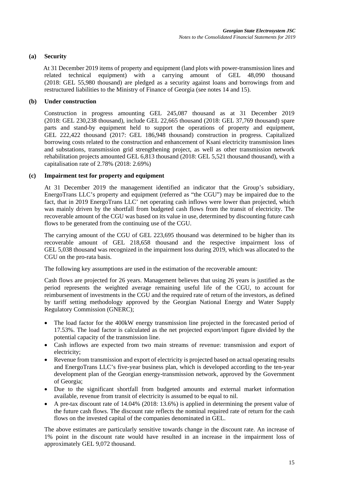### **(a) Security**

 At 31 December 2019 items of property and equipment (land plots with power-transmission lines and related technical equipment) with a carrying amount of GEL 48,090 thousand (2018: GEL 55,980 thousand) are pledged as a security against loans and borrowings from and restructured liabilities to the Ministry of Finance of Georgia (see notes 14 and 15).

#### **(b) Under construction**

Construction in progress amounting GEL 245,087 thousand as at 31 December 2019 (2018: GEL 230,238 thousand), include GEL 22,665 thousand (2018: GEL 37,769 thousand) spare parts and stand-by equipment held to support the operations of property and equipment, GEL 222,422 thousand (2017: GEL 186,948 thousand) construction in progress. Capitalized borrowing costs related to the construction and enhancement of Ksani electricity transmission lines and substations, transmission grid strengthening project, as well as other transmission network rehabilitation projects amounted GEL 6,813 thousand (2018: GEL 5,521 thousand thousand), with a capitalisation rate of 2.78% (2018: 2.69%)

#### **(c) Impairment test for property and equipment**

At 31 December 2019 the management identified an indicator that the Group's subsidiary, EnergoTrans LLC's property and equipment (referred as "the CGU") may be impaired due to the fact, that in 2019 EnergoTrans LLC' net operating cash inflows were lower than projected, which was mainly driven by the shortfall from budgeted cash flows from the transit of electricity. The recoverable amount of the CGU was based on its value in use, determined by discounting future cash flows to be generated from the continuing use of the CGU.

The carrying amount of the CGU of GEL 223,695 thousand was determined to be higher than its recoverable amount of GEL 218,658 thousand and the respective impairment loss of GEL 5,038 thousand was recognized in the impairment loss during 2019, which was allocated to the CGU on the pro-rata basis.

The following key assumptions are used in the estimation of the recoverable amount:

Cash flows are projected for 26 years. Management believes that using 26 years is justified as the period represents the weighted average remaining useful life of the CGU, to account for reimbursement of investments in the CGU and the required rate of return of the investors, as defined by tariff setting methodology approved by the Georgian National Energy and Water Supply Regulatory Commission (GNERC);

- The load factor for the 400 kW energy transmission line projected in the forecasted period of 17.53%. The load factor is calculated as the net projected export/import figure divided by the potential capacity of the transmission line.
- Cash inflows are expected from two main streams of revenue: transmission and export of electricity;
- Revenue from transmission and export of electricity is projected based on actual operating results and EnergoTrans LLC's five-year business plan, which is developed according to the ten-year development plan of the Georgian energy-transmission network, approved by the Government of Georgia;
- Due to the significant shortfall from budgeted amounts and external market information available, revenue from transit of electricity is assumed to be equal to nil.
- A pre-tax discount rate of 14.04% (2018: 13.6%) is applied in determining the present value of the future cash flows. The discount rate reflects the nominal required rate of return for the cash flows on the invested capital of the companies denominated in GEL.

The above estimates are particularly sensitive towards change in the discount rate. An increase of 1% point in the discount rate would have resulted in an increase in the impairment loss of approximately GEL 9,072 thousand.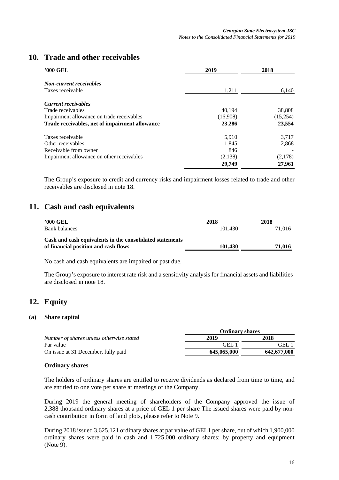# **10. Trade and other receivables**

| '000 GEL                                       | 2019     | 2018     |
|------------------------------------------------|----------|----------|
| <b>Non-current receivables</b>                 |          |          |
| Taxes receivable                               | 1,211    | 6,140    |
| <b>Current receivables</b>                     |          |          |
| Trade receivables                              | 40.194   | 38,808   |
| Impairment allowance on trade receivables      | (16,908) | (15,254) |
| Trade receivables, net of impairment allowance | 23,286   | 23,554   |
| Taxes receivable                               | 5,910    | 3,717    |
| Other receivables                              | 1,845    | 2,868    |
| Receivable from owner                          | 846      |          |
| Impairment allowance on other receivables      | (2,138)  | (2,178)  |
|                                                | 29,749   | 27,961   |

The Group's exposure to credit and currency risks and impairment losses related to trade and other receivables are disclosed in note 18.

# **11. Cash and cash equivalents**

| '000 GEL                                                                                         | 2018    | 2018   |
|--------------------------------------------------------------------------------------------------|---------|--------|
| <b>Bank balances</b>                                                                             | 101.430 | 71.016 |
| Cash and cash equivalents in the consolidated statements<br>of financial position and cash flows | 101.430 | 71.016 |

No cash and cash equivalents are impaired or past due.

The Group's exposure to interest rate risk and a sensitivity analysis for financial assets and liabilities are disclosed in note 18.

# **12. Equity**

# **(a) Share capital**

|                                          | <b>Ordinary shares</b> |             |
|------------------------------------------|------------------------|-------------|
| Number of shares unless otherwise stated | 2019                   | 2018        |
| Par value                                | GEL                    | GEL.        |
| On issue at 31 December, fully paid      | 645,065,000            | 642,677,000 |

#### **Ordinary shares**

The holders of ordinary shares are entitled to receive dividends as declared from time to time, and are entitled to one vote per share at meetings of the Company.

During 2019 the general meeting of shareholders of the Company approved the issue of 2,388 thousand ordinary shares at a price of GEL 1 per share The issued shares were paid by noncash contribution in form of land plots, please refer to Note 9.

During 2018 issued 3,625,121 ordinary shares at par value of GEL1 per share, out of which 1,900,000 ordinary shares were paid in cash and 1,725,000 ordinary shares: by property and equipment (Note 9).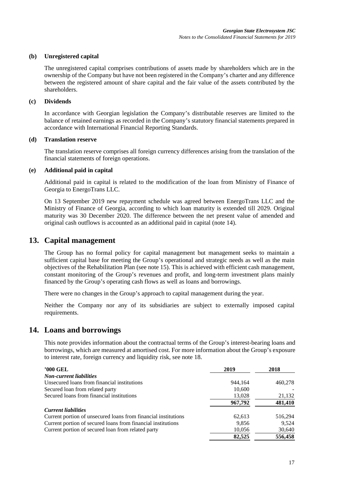#### **(b) Unregistered capital**

The unregistered capital comprises contributions of assets made by shareholders which are in the ownership of the Company but have not been registered in the Company's charter and any difference between the registered amount of share capital and the fair value of the assets contributed by the shareholders.

#### **(c) Dividends**

In accordance with Georgian legislation the Company's distributable reserves are limited to the balance of retained earnings as recorded in the Company's statutory financial statements prepared in accordance with International Financial Reporting Standards.

#### **(d) Translation reserve**

The translation reserve comprises all foreign currency differences arising from the translation of the financial statements of foreign operations.

### **(e) Additional paid in capital**

Additional paid in capital is related to the modification of the loan from Ministry of Finance of Georgia to EnergoTrans LLC.

On 13 September 2019 new repayment schedule was agreed between EnergoTrans LLC and the Ministry of Finance of Georgia, according to which loan maturity is extended till 2029. Original maturity was 30 December 2020. The difference between the net present value of amended and original cash outflows is accounted as an additional paid in capital (note 14).

# **13. Capital management**

The Group has no formal policy for capital management but management seeks to maintain a sufficient capital base for meeting the Group's operational and strategic needs as well as the main objectives of the Rehabilitation Plan (see note 15). This is achieved with efficient cash management, constant monitoring of the Group's revenues and profit, and long-term investment plans mainly financed by the Group's operating cash flows as well as loans and borrowings.

There were no changes in the Group's approach to capital management during the year.

Neither the Company nor any of its subsidiaries are subject to externally imposed capital requirements.

# **14. Loans and borrowings**

This note provides information about the contractual terms of the Group's interest-bearing loans and borrowings, which are measured at amortised cost. For more information about the Group's exposure to interest rate, foreign currency and liquidity risk, see note 18.

| '000 GEL                                                       | 2019    | 2018    |
|----------------------------------------------------------------|---------|---------|
| <b>Non-current liabilities</b>                                 |         |         |
| Unsecured loans from financial institutions                    | 944.164 | 460,278 |
| Secured loan from related party                                | 10,600  |         |
| Secured loans from financial institutions                      | 13,028  | 21,132  |
|                                                                | 967,792 | 481,410 |
| <b>Current liabilities</b>                                     |         |         |
| Current portion of unsecured loans from financial institutions | 62,613  | 516,294 |
| Current portion of secured loans from financial institutions   | 9.856   | 9.524   |
| Current portion of secured loan from related party             | 10,056  | 30,640  |
|                                                                | 82,525  | 556,458 |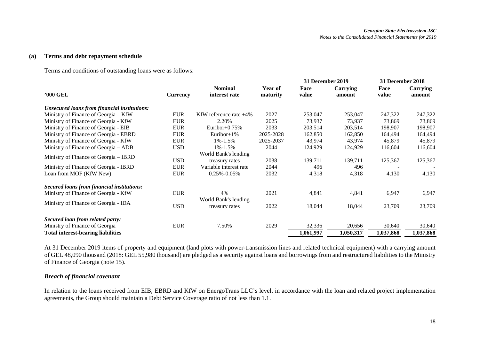*Notes to the Consolidated Financial Statements for 2019* 

#### **(a) Terms and debt repayment schedule**

Terms and conditions of outstanding loans were as follows:

|                                                     |                 |                                 |                     | 31 December 2019 |                    | <b>31 December 2018</b> |                    |
|-----------------------------------------------------|-----------------|---------------------------------|---------------------|------------------|--------------------|-------------------------|--------------------|
| '000 GEL                                            | <b>Currency</b> | <b>Nominal</b><br>interest rate | Year of<br>maturity | Face<br>value    | Carrying<br>amount | Face<br>value           | Carrying<br>amount |
|                                                     |                 |                                 |                     |                  |                    |                         |                    |
| <b>Unsecured loans from financial institutions:</b> |                 |                                 |                     |                  |                    |                         |                    |
| Ministry of Finance of Georgia – KfW                | <b>EUR</b>      | KfW reference rate $+4\%$       | 2027                | 253,047          | 253,047            | 247,322                 | 247,322            |
| Ministry of Finance of Georgia - KfW                | <b>EUR</b>      | 2.20%                           | 2025                | 73,937           | 73,937             | 73,869                  | 73,869             |
| Ministry of Finance of Georgia - EIB                | <b>EUR</b>      | Euribor+ $0.75\%$               | 2033                | 203,514          | 203,514            | 198,907                 | 198,907            |
| Ministry of Finance of Georgia - EBRD               | <b>EUR</b>      | Euribor+ $1\%$                  | 2025-2028           | 162,850          | 162,850            | 164,494                 | 164,494            |
| Ministry of Finance of Georgia - KfW                | <b>EUR</b>      | $1\% - 1.5\%$                   | 2025-2037           | 43,974           | 43,974             | 45,879                  | 45,879             |
| Ministry of Finance of Georgia - ADB                | <b>USD</b>      | $1\% - 1.5\%$                   | 2044                | 124,929          | 124,929            | 116,604                 | 116,604            |
| Ministry of Finance of Georgia – IBRD               |                 | World Bank's lending            |                     |                  |                    |                         |                    |
|                                                     | <b>USD</b>      | treasury rates                  | 2038                | 139,711          | 139,711            | 125,367                 | 125,367            |
| Ministry of Finance of Georgia - IBRD               | <b>EUR</b>      | Variable interest rate          | 2044                | 496              | 496                |                         |                    |
| Loan from MOF (KfW New)                             | <b>EUR</b>      | $0.25\% - 0.05\%$               | 2032                | 4,318            | 4,318              | 4,130                   | 4,130              |
| Secured loans from financial institutions:          |                 |                                 |                     |                  |                    |                         |                    |
| Ministry of Finance of Georgia - KfW                | <b>EUR</b>      | 4%                              | 2021                | 4,841            | 4,841              | 6,947                   | 6,947              |
| Ministry of Finance of Georgia - IDA                |                 | World Bank's lending            |                     |                  |                    |                         |                    |
|                                                     | <b>USD</b>      | treasury rates                  | 2022                | 18,044           | 18,044             | 23,709                  | 23,709             |
| Secured loan from related party:                    |                 |                                 |                     |                  |                    |                         |                    |
| Ministry of Finance of Georgia                      | <b>EUR</b>      | 7.50%                           | 2029                | 32,336           | 20,656             | 30,640                  | 30,640             |
| <b>Total interest-bearing liabilities</b>           |                 |                                 |                     | 1,061,997        | 1,050,317          | 1,037,868               | 1,037,868          |

At 31 December 2019 items of property and equipment (land plots with power-transmission lines and related technical equipment) with a carrying amount of GEL 48,090 thousand (2018: GEL 55,980 thousand) are pledged as a security against loans and borrowings from and restructured liabilities to the Ministry of Finance of Georgia (note 15).

#### *Breach of financial covenant*

In relation to the loans received from EIB, EBRD and KfW on EnergoTrans LLC's level, in accordance with the loan and related project implementation agreements, the Group should maintain a Debt Service Coverage ratio of not less than 1.1.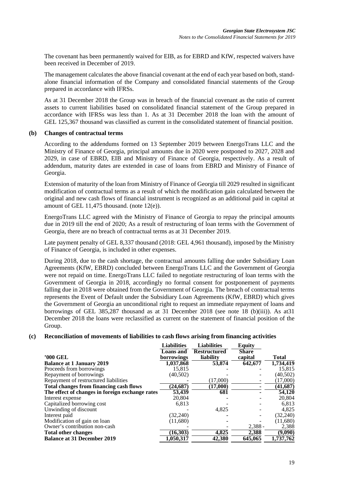The covenant has been permanently waived for EIB, as for EBRD and KfW, respected waivers have been received in December of 2019.

The management calculates the above financial covenant at the end of each year based on both, standalone financial information of the Company and consolidated financial statements of the Group prepared in accordance with IFRSs.

As at 31 December 2018 the Group was in breach of the financial covenant as the ratio of current assets to current liabilities based on consolidated financial statement of the Group prepared in accordance with IFRSs was less than 1. As at 31 December 2018 the loan with the amount of GEL 125,367 thousand was classified as current in the consolidated statement of financial position.

#### **(b) Changes of contractual terms**

According to the addendums formed on 13 September 2019 between EnergoTrans LLC and the Ministry of Finance of Georgia, principal amounts due in 2020 were postponed to 2027, 2028 and 2029, in case of EBRD, EIB and Ministry of Finance of Georgia, respectively. As a result of addendum, maturity dates are extended in case of loans from EBRD and Ministry of Finance of Georgia.

Extension of maturity of the loan from Ministry of Finance of Georgia till 2029 resulted in significant modification of contractual terms as a result of which the modification gain calculated between the original and new cash flows of financial instrument is recognized as an additional paid in capital at amount of GEL 11,475 thousand. (note 12(e)).

EnergoTrans LLC agreed with the Ministry of Finance of Georgia to repay the principal amounts due in 2019 till the end of 2020; As a result of restructuring of loan terms with the Government of Georgia, there are no breach of contractual terms as at 31 December 2019.

Late payment penalty of GEL 8,337 thousand (2018: GEL 4,961 thousand), imposed by the Ministry of Finance of Georgia, is included in other expenses.

During 2018, due to the cash shortage, the contractual amounts falling due under Subsidiary Loan Agreements (KfW, EBRD) concluded between EnergoTrans LLC and the Government of Georgia were not repaid on time. EnergoTrans LLC failed to negotiate restructuring of loan terms with the Government of Georgia in 2018, accordingly no formal consent for postponement of payments falling due in 2018 were obtained from the Government of Georgia. The breach of contractual terms represents the Event of Default under the Subsidiary Loan Agreements (KfW, EBRD) which gives the Government of Georgia an unconditional right to request an immediate repayment of loans and borrowings of GEL 385,287 thousand as at 31 December 2018 (see note 18 (b)(iii)). As at31 December 2018 the loans were reclassified as current on the statement of financial position of the Group.

#### **(c) Reconciliation of movements of liabilities to cash flows arising from financing activities**

|                                                 | <b>Liabilities</b> | <b>Liabilities</b>  | <b>Equity</b> |              |
|-------------------------------------------------|--------------------|---------------------|---------------|--------------|
|                                                 | Loans and          | <b>Restructured</b> | <b>Share</b>  |              |
| '000 GEL                                        | borrowings         | liability           | capital       | <b>Total</b> |
| <b>Balance at 1 January 2019</b>                | 1,037,868          | 53,874              | 642,677       | 1,734,419    |
| Proceeds from borrowings                        | 15,815             |                     |               | 15,815       |
| Repayment of borrowings                         | (40,502)           |                     |               | (40, 502)    |
| Repayment of restructured liabilities           |                    | (17,000)            |               | (17,000)     |
| Total changes from financing cash flows         | (24, 687)          | (17,000)            |               | (41, 687)    |
| The effect of changes in foreign exchange rates | 53,439             | 681                 |               | 54,120       |
| Interest expense                                | 20,804             |                     |               | 20,804       |
| Capitalized borrowing cost                      | 6,813              |                     |               | 6,813        |
| Unwinding of discount                           |                    | 4,825               |               | 4.825        |
| Interest paid                                   | (32,240)           |                     |               | (32,240)     |
| Modification of gain on loan                    | (11,680)           |                     |               | (11,680)     |
| Owner's contribution non-cash                   |                    |                     | $2,388 -$     | 2,388        |
| <b>Total other changes</b>                      | (16,303)           | 4,825               | 2,388         | (9,090)      |
| <b>Balance at 31 December 2019</b>              | 1.050.317          | 42.380              | 645,065       | 1,737,762    |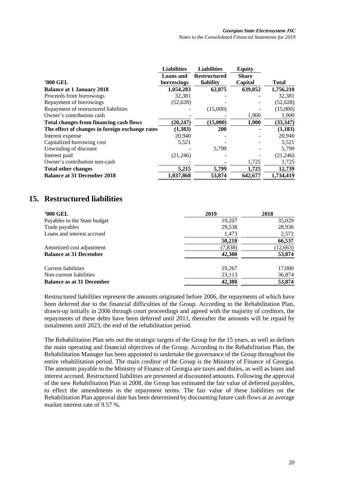|                                                 | <b>Liabilities</b> | <b>Liabilities</b>  | <b>Equity</b> |              |
|-------------------------------------------------|--------------------|---------------------|---------------|--------------|
|                                                 | <b>Loans</b> and   | <b>Restructured</b> | <b>Share</b>  |              |
| '000 GEL                                        | borrowings         | liability           | Capital       | <b>Total</b> |
| <b>Balance at 1 January 2018</b>                | 1,054,283          | 62,875              | 639,052       | 1,756,210    |
| Proceeds from borrowings                        | 32,381             |                     |               | 32,381       |
| Repayment of borrowings                         | (52, 628)          |                     |               | (52, 628)    |
| Repayment of restructured liabilities           |                    | (15,000)            |               | (15,000)     |
| Owner's contribution cash                       |                    |                     | 1,900         | 1,900        |
| <b>Total changes from financing cash flows</b>  | (20, 247)          | (15,000)            | 1,900         | (33, 347)    |
| The effect of changes in foreign exchange rates | (1,383)            | <b>200</b>          |               | (1, 183)     |
| Interest expense                                | 20,940             |                     |               | 20,940       |
| Capitalized borrowing cost                      | 5,521              |                     |               | 5,521        |
| Unwinding of discount                           |                    | 5,799               |               | 5,799        |
| Interest paid                                   | (21, 246)          |                     |               | (21, 246)    |
| Owner's contribution non-cash                   |                    |                     | 1,725         | 1,725        |
| <b>Total other changes</b>                      | 5,215              | 5,799               | 1,725         | 12,739       |
| <b>Balance at 31 December 2018</b>              | 1,037,868          | 53,874              | 642,677       | 1,734,419    |

# **15. Restructured liabilities**

| '000 GEL                         | 2019    | 2018      |
|----------------------------------|---------|-----------|
| Payables to the State budget     | 19.207  | 35,029    |
| Trade payables                   | 29,538  | 28,936    |
| Loans and interest accrued       | 1,473   | 2,572     |
|                                  | 50,218  | 66,537    |
| Amortized cost adjustment        | (7,838) | (12, 663) |
| <b>Balance at 31 December</b>    | 42,380  | 53,874    |
| Current liabilities              | 19,267  | 17,000    |
| Non-current liabilities          | 23,113  | 36,874    |
| <b>Balance as at 31 December</b> | 42,380  | 53,874    |

Restructured liabilities represent the amounts originated before 2006, the repayments of which have been deferred due to the financial difficulties of the Group. According to the Rehabilitation Plan, drawn-up initially in 2006 through court proceedings and agreed with the majority of creditors, the repayments of these debts have been deferred until 2011, thereafter the amounts will be repaid by instalments until 2023, the end of the rehabilitation period.

The Rehabilitation Plan sets out the strategic targets of the Group for the 15 years, as well as defines the main operating and financial objectives of the Group. According to the Rehabilitation Plan, the Rehabilitation Manager has been appointed to undertake the governance of the Group throughout the entire rehabilitation period. The main creditor of the Group is the Ministry of Finance of Georgia. The amounts payable to the Ministry of Finance of Georgia are taxes and duties, as well as loans and interest accrued. Restructured liabilities are presented at discounted amounts. Following the approval of the new Rehabilitation Plan in 2008, the Group has estimated the fair value of deferred payables, to effect the amendments in the repayment terms. The fair value of these liabilities on the Rehabilitation Plan approval date has been determined by discounting future cash flows at an average market interest rate of 9.57 %.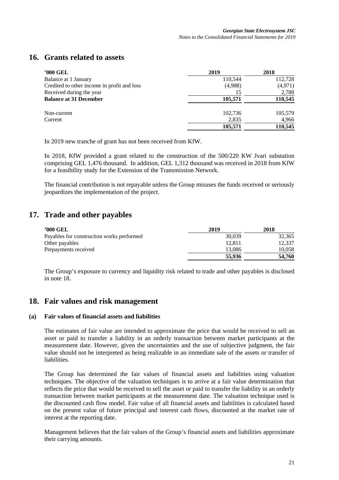# **16. Grants related to assets**

| '000 GEL                                    | 2019    | 2018    |
|---------------------------------------------|---------|---------|
| Balance at 1 January                        | 110,544 | 112,728 |
| Credited to other income in profit and loss | (4,988) | (4,971) |
| Received during the year                    | 15      | 2,788   |
| <b>Balance at 31 December</b>               | 105.571 | 110,545 |
| Non-current                                 | 102,736 | 105,579 |
| Current                                     | 2,835   | 4,966   |
|                                             | 105,571 | 110,545 |

In 2019 new tranche of grant has not been received from KfW.

In 2018, KfW provided a grant related to the construction of the 500/220 KW Jvari substation comprising GEL 1,476 thousand. In addition, GEL 1,312 thousand was received in 2018 from KfW for a feasibility study for the Extension of the Transmission Network.

The financial contribution is not repayable unless the Group misuses the funds received or seriously jeopardizes the implementation of the project.

# **17. Trade and other payables**

| '000 GEL                                  | 2019   | 2018   |
|-------------------------------------------|--------|--------|
| Payables for construction works performed | 30.039 | 32,365 |
| Other payables                            | 12.811 | 12.337 |
| Prepayments received                      | 13,086 | 10.058 |
|                                           | 55,936 | 54,760 |

The Group's exposure to currency and liquidity risk related to trade and other payables is disclosed in note 18.

# **18. Fair values and risk management**

# **(a) Fair values of financial assets and liabilities**

The estimates of fair value are intended to approximate the price that would be received to sell an asset or paid to transfer a liability in an orderly transaction between market participants at the measurement date. However, given the uncertainties and the use of subjective judgment, the fair value should not be interpreted as being realizable in an immediate sale of the assets or transfer of liabilities.

The Group has determined the fair values of financial assets and liabilities using valuation techniques. The objective of the valuation techniques is to arrive at a fair value determination that reflects the price that would be received to sell the asset or paid to transfer the liability in an orderly transaction between market participants at the measurement date. The valuation technique used is the discounted cash flow model. Fair value of all financial assets and liabilities is calculated based on the present value of future principal and interest cash flows, discounted at the market rate of interest at the reporting date.

Management believes that the fair values of the Group's financial assets and liabilities approximate their carrying amounts.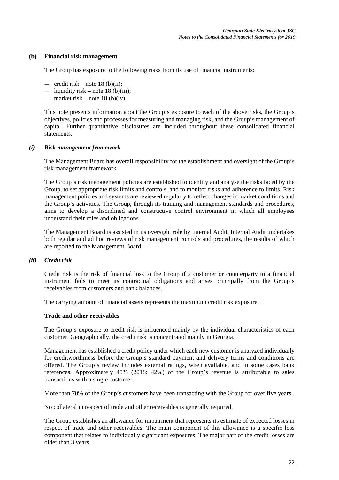#### **(b) Financial risk management**

The Group has exposure to the following risks from its use of financial instruments:

- $\hbox{--}$  credit risk note 18 (b)(ii);
- $-$  liquidity risk note 18 (b)(iii);
- $-$  market risk note 18 (b)(iv).

This note presents information about the Group's exposure to each of the above risks, the Group's objectives, policies and processes for measuring and managing risk, and the Group's management of capital. Further quantitative disclosures are included throughout these consolidated financial statements.

#### *(i) Risk management framework*

The Management Board has overall responsibility for the establishment and oversight of the Group's risk management framework.

The Group's risk management policies are established to identify and analyse the risks faced by the Group, to set appropriate risk limits and controls, and to monitor risks and adherence to limits. Risk management policies and systems are reviewed regularly to reflect changes in market conditions and the Group's activities. The Group, through its training and management standards and procedures, aims to develop a disciplined and constructive control environment in which all employees understand their roles and obligations.

The Management Board is assisted in its oversight role by Internal Audit. Internal Audit undertakes both regular and ad hoc reviews of risk management controls and procedures, the results of which are reported to the Management Board.

#### *(ii) Credit risk*

Credit risk is the risk of financial loss to the Group if a customer or counterparty to a financial instrument fails to meet its contractual obligations and arises principally from the Group's receivables from customers and bank balances.

The carrying amount of financial assets represents the maximum credit risk exposure.

#### **Trade and other receivables**

The Group's exposure to credit risk is influenced mainly by the individual characteristics of each customer. Geographically, the credit risk is concentrated mainly in Georgia.

Management has established a credit policy under which each new customer is analyzed individually for creditworthiness before the Group's standard payment and delivery terms and conditions are offered. The Group's review includes external ratings, when available, and in some cases bank references. Approximately 45% (2018: 42%) of the Group's revenue is attributable to sales transactions with a single customer.

More than 70% of the Group's customers have been transacting with the Group for over five years.

No collateral in respect of trade and other receivables is generally required.

The Group establishes an allowance for impairment that represents its estimate of expected losses in respect of trade and other receivables. The main component of this allowance is a specific loss component that relates to individually significant exposures. The major part of the credit losses are older than 3 years.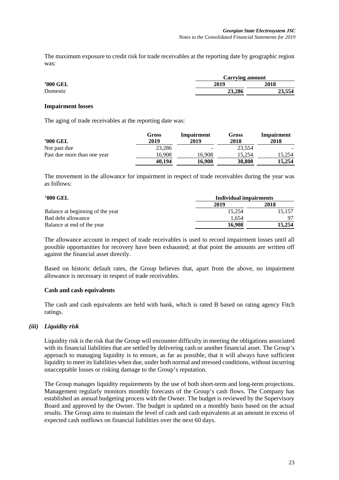The maximum exposure to credit risk for trade receivables at the reporting date by geographic region was:

|                 | Carrying amount |        |
|-----------------|-----------------|--------|
| <b>'000 GEL</b> | 2019            | 2018   |
| Domestic        | 23,286          | 23,554 |

#### **Impairment losses**

The aging of trade receivables at the reporting date was:

|                             | Gross  | Impairment | Gross  | Impairment |
|-----------------------------|--------|------------|--------|------------|
| '000 GEL                    | 2019   | 2019       | 2018   | 2018       |
| Not past due                | 23.286 | -          | 23.554 |            |
| Past due more than one year | 16.908 | 16.908     | 15.254 | 15.254     |
|                             | 40.194 | 16.908     | 38,808 | 15,254     |

The movement in the allowance for impairment in respect of trade receivables during the year was as follows:

| '000 GEL                         | Individual impairments |        |  |
|----------------------------------|------------------------|--------|--|
|                                  | 2019                   | 2018   |  |
| Balance at beginning of the year | 15.254                 | 15.157 |  |
| Bad debt allowance               | 1.654                  |        |  |
| Balance at end of the year       | 16.908                 | 15.254 |  |

The allowance account in respect of trade receivables is used to record impairment losses until all possible opportunities for recovery have been exhausted; at that point the amounts are written off against the financial asset directly.

Based on historic default rates, the Group believes that, apart from the above, no impairment allowance is necessary in respect of trade receivables.

#### **Cash and cash equivalents**

The cash and cash equivalents are held with bank, which is rated B based on rating agency Fitch ratings.

#### *(iii) Liquidity risk*

Liquidity risk is the risk that the Group will encounter difficulty in meeting the obligations associated with its financial liabilities that are settled by delivering cash or another financial asset. The Group's approach to managing liquidity is to ensure, as far as possible, that it will always have sufficient liquidity to meet its liabilities when due, under both normal and stressed conditions, without incurring unacceptable losses or risking damage to the Group's reputation.

The Group manages liquidity requirements by the use of both short-term and long-term projections. Management regularly monitors monthly forecasts of the Group's cash flows. The Company has established an annual budgeting process with the Owner. The budget is reviewed by the Supervisory Board and approved by the Owner. The budget is updated on a monthly basis based on the actual results. The Group aims to maintain the level of cash and cash equivalents at an amount in excess of expected cash outflows on financial liabilities over the next 60 days.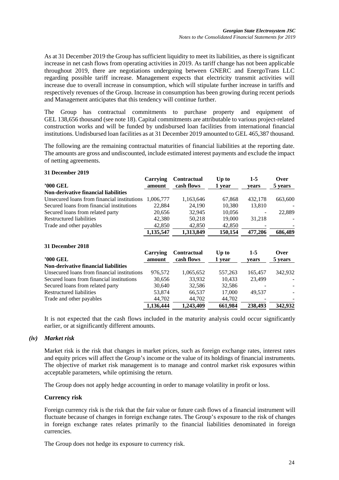As at 31 December 2019 the Group has sufficient liquidity to meet its liabilities, as there is significant increase in net cash flows from operating activities in 2019. As tariff change has not been applicable throughout 2019, there are negotiations undergoing between GNERC and EnergoTrans LLC regarding possible tariff increase. Management expects that electricity transmit activities will increase due to overall increase in consumption, which will stipulate further increase in tariffs and respectively revenues of the Group. Increase in consumption has been growing during recent periods and Management anticipates that this tendency will continue further.

The Group has contractual commitments to purchase property and equipment of GEL 138,656 thousand (see note 18). Capital commitments are attributable to various project-related construction works and will be funded by undisbursed loan facilities from international financial institutions. Undisbursed loan facilities as at 31 December 2019 amounted to GEL 465,387 thousand.

The following are the remaining contractual maturities of financial liabilities at the reporting date. The amounts are gross and undiscounted, include estimated interest payments and exclude the impact of netting agreements.

#### **31 December 2019**

|                                             | <b>Carrying</b> | <b>Contractual</b> | Up to   | $1-5$   | Over        |
|---------------------------------------------|-----------------|--------------------|---------|---------|-------------|
| '000 GEL                                    | amount          | cash flows         | 1 year  | vears   | 5 years     |
| <b>Non-derivative financial liabilities</b> |                 |                    |         |         |             |
| Unsecured loans from financial institutions | 1,006,777       | 1,163,646          | 67,868  | 432,178 | 663,600     |
| Secured loans from financial institutions   | 22,884          | 24,190             | 10,380  | 13,810  |             |
| Secured loans from related party            | 20,656          | 32,945             | 10,056  |         | 22,889      |
| Restructured liabilities                    | 42,380          | 50,218             | 19,000  | 31,218  |             |
| Trade and other payables                    | 42,850          | 42,850             | 42,850  |         |             |
|                                             | 1,135,547       | 1,313,849          | 150,154 | 477,206 | 686,489     |
| 31 December 2018                            |                 |                    |         |         |             |
|                                             | Carrying        | <b>Contractual</b> | Up to   | $1-5$   | <b>Over</b> |
| '000 GEL                                    | amount          | cash flows         | 1 year  | vears   | 5 years     |
| <b>Non-derivative financial liabilities</b> |                 |                    |         |         |             |
| Unsecured loans from financial institutions | 976,572         | 1,065,652          | 557,263 | 165,457 | 342,932     |
| Secured loans from financial institutions   | 30,656          | 33,932             | 10,433  | 23,499  |             |
| Secured loans from related party            | 30,640          | 32,586             | 32,586  |         |             |
| Restructured liabilities                    | 53,874          | 66,537             | 17,000  | 49,537  |             |
| Trade and other payables                    | 44,702          | 44,702             | 44,702  |         |             |
|                                             | 1,136,444       | 1,243,409          | 661,984 | 238,493 | 342,932     |

It is not expected that the cash flows included in the maturity analysis could occur significantly earlier, or at significantly different amounts.

#### *(iv) Market risk*

Market risk is the risk that changes in market prices, such as foreign exchange rates, interest rates and equity prices will affect the Group's income or the value of its holdings of financial instruments. The objective of market risk management is to manage and control market risk exposures within acceptable parameters, while optimising the return.

The Group does not apply hedge accounting in order to manage volatility in profit or loss.

#### **Currency risk**

Foreign currency risk is the risk that the fair value or future cash flows of a financial instrument will fluctuate because of changes in foreign exchange rates. The Group's exposure to the risk of changes in foreign exchange rates relates primarily to the financial liabilities denominated in foreign currencies.

The Group does not hedge its exposure to currency risk.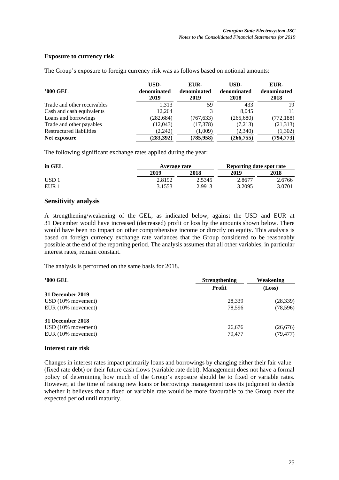### **Exposure to currency risk**

The Group's exposure to foreign currency risk was as follows based on notional amounts:

| '000 GEL                    | USD-<br>denominated<br>2019 | EUR-<br>denominated<br>2019 | USD-<br>denominated<br>2018 | EUR-<br>denominated<br>2018 |
|-----------------------------|-----------------------------|-----------------------------|-----------------------------|-----------------------------|
| Trade and other receivables | 1.313                       | 59                          | 433                         | 19                          |
| Cash and cash equivalents   | 12.264                      | 3                           | 8.045                       | 11                          |
| Loans and borrowings        | (282, 684)                  | (767, 633)                  | (265,680)                   | (772, 188)                  |
| Trade and other payables    | (12,043)                    | (17,378)                    | (7,213)                     | (21,313)                    |
| Restructured liabilities    | (2,242)                     | (1,009)                     | (2,340)                     | (1,302)                     |
| Net exposure                | (283, 392)                  | (785,958)                   | (266, 755)                  | (794, 773)                  |

The following significant exchange rates applied during the year:

| in GEL           | Average rate |        | Reporting date spot rate |        |
|------------------|--------------|--------|--------------------------|--------|
|                  | 2019         | 2018   | 2019                     | 2018   |
| USD <sub>1</sub> | 2.8192       | 2.5345 | 2.8677                   | 2.6766 |
| EUR 1            | 3.1553       | 2.9913 | 3.2095                   | 3.0701 |

### **Sensitivity analysis**

A strengthening/weakening of the GEL, as indicated below, against the USD and EUR at 31 December would have increased (decreased) profit or loss by the amounts shown below. There would have been no impact on other comprehensive income or directly on equity. This analysis is based on foreign currency exchange rate variances that the Group considered to be reasonably possible at the end of the reporting period. The analysis assumes that all other variables, in particular interest rates, remain constant.

The analysis is performed on the same basis for 2018.

| '000 GEL             | <b>Strengthening</b> | Weakening<br>(Loss) |  |
|----------------------|----------------------|---------------------|--|
|                      | Profit               |                     |  |
| 31 December 2019     |                      |                     |  |
| $USD(10\%$ movement) | 28,339               | (28, 339)           |  |
| EUR (10% movement)   | 78.596               | (78, 596)           |  |
| 31 December 2018     |                      |                     |  |
| $USD(10\%$ movement) | 26,676               | (26,676)            |  |
| EUR (10% movement)   | 79.477               | (79, 477)           |  |

#### **Interest rate risk**

Changes in interest rates impact primarily loans and borrowings by changing either their fair value (fixed rate debt) or their future cash flows (variable rate debt). Management does not have a formal policy of determining how much of the Group's exposure should be to fixed or variable rates. However, at the time of raising new loans or borrowings management uses its judgment to decide whether it believes that a fixed or variable rate would be more favourable to the Group over the expected period until maturity.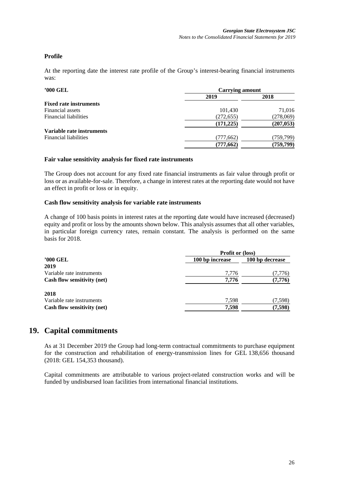# **Profile**

At the reporting date the interest rate profile of the Group's interest-bearing financial instruments was:

| '000 GEL                      | Carrying amount |            |
|-------------------------------|-----------------|------------|
|                               | 2019            | 2018       |
| <b>Fixed rate instruments</b> |                 |            |
| Financial assets              | 101,430         | 71,016     |
| <b>Financial liabilities</b>  | (272, 655)      | (278,069)  |
|                               | (171, 225)      | (207, 053) |
| Variable rate instruments     |                 |            |
| Financial liabilities         | (777,662)       | (759,799)  |
|                               | (777, 662)      | (759, 799) |

#### **Fair value sensitivity analysis for fixed rate instruments**

The Group does not account for any fixed rate financial instruments as fair value through profit or loss or as available-for-sale. Therefore, a change in interest rates at the reporting date would not have an effect in profit or loss or in equity.

#### **Cash flow sensitivity analysis for variable rate instruments**

A change of 100 basis points in interest rates at the reporting date would have increased (decreased) equity and profit or loss by the amounts shown below. This analysis assumes that all other variables, in particular foreign currency rates, remain constant. The analysis is performed on the same basis for 2018.

|                                    | <b>Profit or (loss)</b> |                 |  |
|------------------------------------|-------------------------|-----------------|--|
| '000 GEL                           | 100 bp increase         | 100 bp decrease |  |
| 2019                               |                         |                 |  |
| Variable rate instruments          | 7,776                   | (7,776)         |  |
| <b>Cash flow sensitivity (net)</b> | 7,776                   | (7,776)         |  |
| 2018                               |                         |                 |  |
| Variable rate instruments          | 7,598                   | (7,598)         |  |
| <b>Cash flow sensitivity (net)</b> | 7.598                   | (7,598)         |  |

# **19. Capital commitments**

As at 31 December 2019 the Group had long-term contractual commitments to purchase equipment for the construction and rehabilitation of energy-transmission lines for GEL 138,656 thousand (2018: GEL 154,353 thousand).

Capital commitments are attributable to various project-related construction works and will be funded by undisbursed loan facilities from international financial institutions.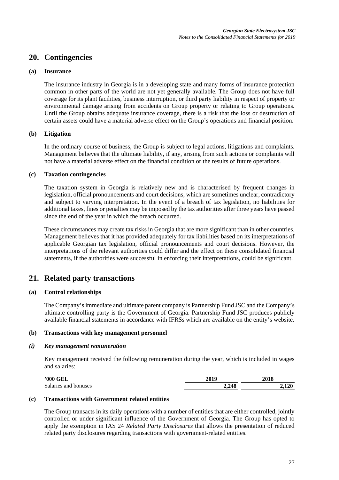# **20. Contingencies**

### **(a) Insurance**

The insurance industry in Georgia is in a developing state and many forms of insurance protection common in other parts of the world are not yet generally available. The Group does not have full coverage for its plant facilities, business interruption, or third party liability in respect of property or environmental damage arising from accidents on Group property or relating to Group operations. Until the Group obtains adequate insurance coverage, there is a risk that the loss or destruction of certain assets could have a material adverse effect on the Group's operations and financial position.

# **(b) Litigation**

In the ordinary course of business, the Group is subject to legal actions, litigations and complaints. Management believes that the ultimate liability, if any, arising from such actions or complaints will not have a material adverse effect on the financial condition or the results of future operations.

### **(c) Taxation contingencies**

The taxation system in Georgia is relatively new and is characterised by frequent changes in legislation, official pronouncements and court decisions, which are sometimes unclear, contradictory and subject to varying interpretation. In the event of a breach of tax legislation, no liabilities for additional taxes, fines or penalties may be imposed by the tax authorities after three years have passed since the end of the year in which the breach occurred.

These circumstances may create tax risks in Georgia that are more significant than in other countries. Management believes that it has provided adequately for tax liabilities based on its interpretations of applicable Georgian tax legislation, official pronouncements and court decisions. However, the interpretations of the relevant authorities could differ and the effect on these consolidated financial statements, if the authorities were successful in enforcing their interpretations, could be significant.

# **21. Related party transactions**

# **(a) Control relationships**

The Company's immediate and ultimate parent company is Partnership Fund JSC and the Company's ultimate controlling party is the Government of Georgia. Partnership Fund JSC produces publicly available financial statements in accordance with IFRSs which are available on the entity's website.

#### **(b) Transactions with key management personnel**

#### *(i) Key management remuneration*

Key management received the following remuneration during the year, which is included in wages and salaries:

| '000 GEL             | 2019  | 2018  |
|----------------------|-------|-------|
| Salaries and bonuses | 2.248 | 2.120 |

#### **(c) Transactions with Government related entities**

The Group transacts in its daily operations with a number of entities that are either controlled, jointly controlled or under significant influence of the Government of Georgia. The Group has opted to apply the exemption in IAS 24 *Related Party Disclosures* that allows the presentation of reduced related party disclosures regarding transactions with government-related entities.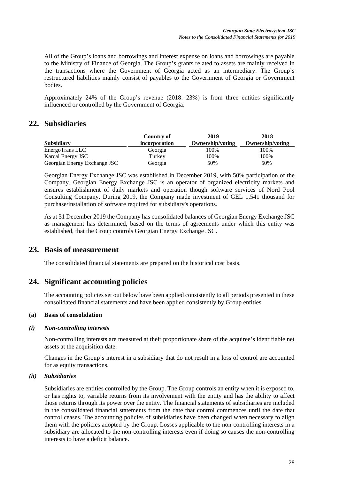All of the Group's loans and borrowings and interest expense on loans and borrowings are payable to the Ministry of Finance of Georgia. The Group's grants related to assets are mainly received in the transactions where the Government of Georgia acted as an intermediary. The Group's restructured liabilities mainly consist of payables to the Government of Georgia or Government bodies.

Approximately 24% of the Group's revenue (2018: 23%) is from three entities significantly influenced or controlled by the Government of Georgia.

# **22. Subsidiaries**

|                              | Country of    | 2019             | 2018             |
|------------------------------|---------------|------------------|------------------|
| <b>Subsidiary</b>            | incorporation | Ownership/voting | Ownership/voting |
| EnergoTrans LLC              | Georgia       | 100%             | 100%             |
| Karcal Energy JSC            | Turkey        | 100%             | 100%             |
| Georgian Energy Exchange JSC | Georgia       | 50%              | 50%              |

Georgian Energy Exchange JSC was established in December 2019, with 50% participation of the Company. Georgian Energy Exchange JSC is an operator of organized electricity markets and ensures establishment of daily markets and operation though software services of Nord Pool Consulting Company. During 2019, the Company made investment of GEL 1,541 thousand for purchase/installation of software required for subsidiary's operations.

As at 31 December 2019 the Company has consolidated balances of Georgian Energy Exchange JSC as management has determined, based on the terms of agreements under which this entity was established, that the Group controls Georgian Energy Exchange JSC.

# **23. Basis of measurement**

The consolidated financial statements are prepared on the historical cost basis.

# **24. Significant accounting policies**

The accounting policies set out below have been applied consistently to all periods presented in these consolidated financial statements and have been applied consistently by Group entities.

# **(a) Basis of consolidation**

# *(i) Non-controlling interests*

Non-controlling interests are measured at their proportionate share of the acquiree's identifiable net assets at the acquisition date.

Changes in the Group's interest in a subsidiary that do not result in a loss of control are accounted for as equity transactions.

#### *(ii) Subsidiaries*

Subsidiaries are entities controlled by the Group. The Group controls an entity when it is exposed to, or has rights to, variable returns from its involvement with the entity and has the ability to affect those returns through its power over the entity. The financial statements of subsidiaries are included in the consolidated financial statements from the date that control commences until the date that control ceases. The accounting policies of subsidiaries have been changed when necessary to align them with the policies adopted by the Group. Losses applicable to the non-controlling interests in a subsidiary are allocated to the non-controlling interests even if doing so causes the non-controlling interests to have a deficit balance.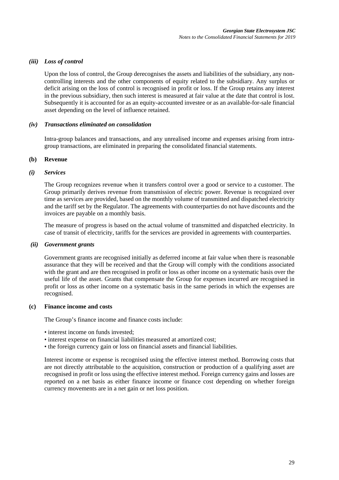### *(iii) Loss of control*

Upon the loss of control, the Group derecognises the assets and liabilities of the subsidiary, any noncontrolling interests and the other components of equity related to the subsidiary. Any surplus or deficit arising on the loss of control is recognised in profit or loss. If the Group retains any interest in the previous subsidiary, then such interest is measured at fair value at the date that control is lost. Subsequently it is accounted for as an equity-accounted investee or as an available-for-sale financial asset depending on the level of influence retained.

#### *(iv) Transactions eliminated on consolidation*

Intra-group balances and transactions, and any unrealised income and expenses arising from intragroup transactions, are eliminated in preparing the consolidated financial statements.

#### **(b) Revenue**

#### *(i) Services*

The Group recognizes revenue when it transfers control over a good or service to a customer. The Group primarily derives revenue from transmission of electric power. Revenue is recognized over time as services are provided, based on the monthly volume of transmitted and dispatched electricity and the tariff set by the Regulator. The agreements with counterparties do not have discounts and the invoices are payable on a monthly basis.

The measure of progress is based on the actual volume of transmitted and dispatched electricity. In case of transit of electricity, tariffs for the services are provided in agreements with counterparties.

#### *(ii) Government grants*

Government grants are recognised initially as deferred income at fair value when there is reasonable assurance that they will be received and that the Group will comply with the conditions associated with the grant and are then recognised in profit or loss as other income on a systematic basis over the useful life of the asset. Grants that compensate the Group for expenses incurred are recognised in profit or loss as other income on a systematic basis in the same periods in which the expenses are recognised.

#### **(c) Finance income and costs**

The Group's finance income and finance costs include:

- interest income on funds invested;
- interest expense on financial liabilities measured at amortized cost;
- the foreign currency gain or loss on financial assets and financial liabilities.

Interest income or expense is recognised using the effective interest method. Borrowing costs that are not directly attributable to the acquisition, construction or production of a qualifying asset are recognised in profit or loss using the effective interest method. Foreign currency gains and losses are reported on a net basis as either finance income or finance cost depending on whether foreign currency movements are in a net gain or net loss position.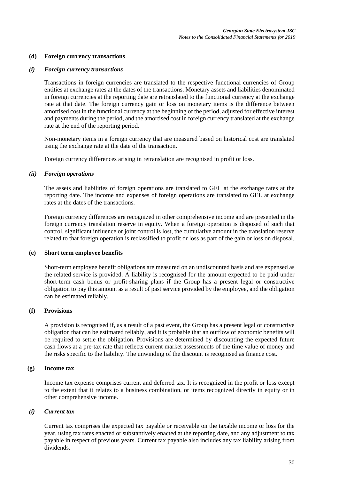#### **(d) Foreign currency transactions**

#### *(i) Foreign currency transactions*

Transactions in foreign currencies are translated to the respective functional currencies of Group entities at exchange rates at the dates of the transactions. Monetary assets and liabilities denominated in foreign currencies at the reporting date are retranslated to the functional currency at the exchange rate at that date. The foreign currency gain or loss on monetary items is the difference between amortised cost in the functional currency at the beginning of the period, adjusted for effective interest and payments during the period, and the amortised cost in foreign currency translated at the exchange rate at the end of the reporting period.

Non-monetary items in a foreign currency that are measured based on historical cost are translated using the exchange rate at the date of the transaction.

Foreign currency differences arising in retranslation are recognised in profit or loss.

#### *(ii) Foreign operations*

The assets and liabilities of foreign operations are translated to GEL at the exchange rates at the reporting date. The income and expenses of foreign operations are translated to GEL at exchange rates at the dates of the transactions.

Foreign currency differences are recognized in other comprehensive income and are presented in the foreign currency translation reserve in equity. When a foreign operation is disposed of such that control, significant influence or joint control is lost, the cumulative amount in the translation reserve related to that foreign operation is reclassified to profit or loss as part of the gain or loss on disposal.

#### **(e) Short term employee benefits**

Short-term employee benefit obligations are measured on an undiscounted basis and are expensed as the related service is provided. A liability is recognised for the amount expected to be paid under short-term cash bonus or profit-sharing plans if the Group has a present legal or constructive obligation to pay this amount as a result of past service provided by the employee, and the obligation can be estimated reliably.

#### **(f) Provisions**

A provision is recognised if, as a result of a past event, the Group has a present legal or constructive obligation that can be estimated reliably, and it is probable that an outflow of economic benefits will be required to settle the obligation. Provisions are determined by discounting the expected future cash flows at a pre-tax rate that reflects current market assessments of the time value of money and the risks specific to the liability. The unwinding of the discount is recognised as finance cost.

#### **(g) Income tax**

Income tax expense comprises current and deferred tax. It is recognized in the profit or loss except to the extent that it relates to a business combination, or items recognized directly in equity or in other comprehensive income.

#### *(i) Current tax*

Current tax comprises the expected tax payable or receivable on the taxable income or loss for the year, using tax rates enacted or substantively enacted at the reporting date, and any adjustment to tax payable in respect of previous years. Current tax payable also includes any tax liability arising from dividends.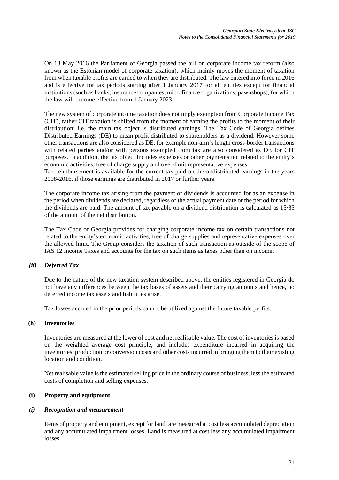On 13 May 2016 the Parliament of Georgia passed the bill on corporate income tax reform (also known as the Estonian model of corporate taxation), which mainly moves the moment of taxation from when taxable profits are earned to when they are distributed. The law entered into force in 2016 and is effective for tax periods starting after 1 January 2017 for all entities except for financial institutions (such as banks, insurance companies, microfinance organizations, pawnshops), for which the law will become effective from 1 January 2023.

The new system of corporate income taxation does not imply exemption from Corporate Income Tax (CIT), rather CIT taxation is shifted from the moment of earning the profits to the moment of their distribution; i.e. the main tax object is distributed earnings. The Tax Code of Georgia defines Distributed Earnings (DE) to mean profit distributed to shareholders as a dividend. However some other transactions are also considered as DE, for example non-arm's length cross-border transactions with related parties and/or with persons exempted from tax are also considered as DE for CIT purposes. In addition, the tax object includes expenses or other payments not related to the entity's economic activities, free of charge supply and over-limit representative expenses.

Tax reimbursement is available for the current tax paid on the undistributed earnings in the years 2008-2016, if those earnings are distributed in 2017 or further years.

The corporate income tax arising from the payment of dividends is accounted for as an expense in the period when dividends are declared, regardless of the actual payment date or the period for which the dividends are paid. The amount of tax payable on a dividend distribution is calculated as 15/85 of the amount of the net distribution.

The Tax Code of Georgia provides for charging corporate income tax on certain transactions not related to the entity's economic activities, free of charge supplies and representative expenses over the allowed limit. The Group considers the taxation of such transaction as outside of the scope of IAS 12 Income Taxes and accounts for the tax on such items as taxes other than on income.

# *(ii) Deferred Tax*

Due to the nature of the new taxation system described above, the entities registered in Georgia do not have any differences between the tax bases of assets and their carrying amounts and hence, no deferred income tax assets and liabilities arise.

Tax losses accrued in the prior periods cannot be utilized against the future taxable profits.

# **(h) Inventories**

Inventories are measured at the lower of cost and net realisable value. The cost of inventories is based on the weighted average cost principle, and includes expenditure incurred in acquiring the inventories, production or conversion costs and other costs incurred in bringing them to their existing location and condition.

Net realisable value is the estimated selling price in the ordinary course of business, less the estimated costs of completion and selling expenses.

# **(i) Property and equipment**

# *(i) Recognition and measurement*

Items of property and equipment, except for land, are measured at cost less accumulated depreciation and any accumulated impairment losses. Land is measured at cost less any accumulated impairment losses.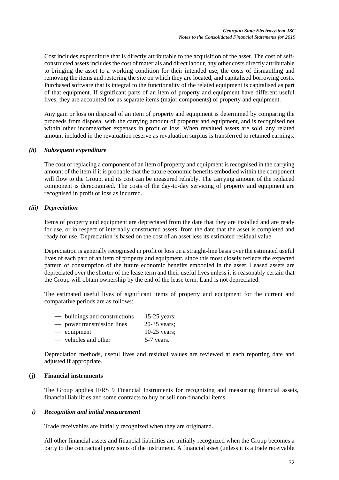Cost includes expenditure that is directly attributable to the acquisition of the asset. The cost of selfconstructed assets includes the cost of materials and direct labour, any other costs directly attributable to bringing the asset to a working condition for their intended use, the costs of dismantling and removing the items and restoring the site on which they are located, and capitalised borrowing costs. Purchased software that is integral to the functionality of the related equipment is capitalised as part of that equipment. If significant parts of an item of property and equipment have different useful lives, they are accounted for as separate items (major components) of property and equipment.

Any gain or loss on disposal of an item of property and equipment is determined by comparing the proceeds from disposal with the carrying amount of property and equipment, and is recognised net within other income/other expenses in profit or loss. When revalued assets are sold, any related amount included in the revaluation reserve as revaluation surplus is transferred to retained earnings.

### *(ii) Subsequent expenditure*

The cost of replacing a component of an item of property and equipment is recognised in the carrying amount of the item if it is probable that the future economic benefits embodied within the component will flow to the Group, and its cost can be measured reliably. The carrying amount of the replaced component is derecognised. The costs of the day-to-day servicing of property and equipment are recognised in profit or loss as incurred.

# *(iii) Depreciation*

Items of property and equipment are depreciated from the date that they are installed and are ready for use, or in respect of internally constructed assets, from the date that the asset is completed and ready for use. Depreciation is based on the cost of an asset less its estimated residual value.

Depreciation is generally recognised in profit or loss on a straight-line basis over the estimated useful lives of each part of an item of property and equipment, since this most closely reflects the expected pattern of consumption of the future economic benefits embodied in the asset. Leased assets are depreciated over the shorter of the lease term and their useful lives unless it is reasonably certain that the Group will obtain ownership by the end of the lease term. Land is not depreciated.

The estimated useful lives of significant items of property and equipment for the current and comparative periods are as follows:

| — buildings and constructions | $15-25$ years; |
|-------------------------------|----------------|
| - power transmission lines    | 20-35 years;   |
| — equipment                   | $10-25$ years; |
| — vehicles and other          | 5-7 years.     |

Depreciation methods, useful lives and residual values are reviewed at each reporting date and adjusted if appropriate.

#### **(j) Financial instruments**

The Group applies IFRS 9 Financial Instruments for recognising and measuring financial assets, financial liabilities and some contracts to buy or sell non-financial items.

#### *i) Recognition and initial measurement*

Trade receivables are initially recognized when they are originated.

All other financial assets and financial liabilities are initially recognized when the Group becomes a party to the contractual provisions of the instrument. A financial asset (unless it is a trade receivable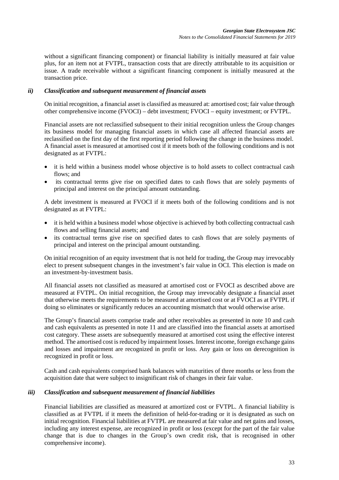without a significant financing component) or financial liability is initially measured at fair value plus, for an item not at FVTPL, transaction costs that are directly attributable to its acquisition or issue. A trade receivable without a significant financing component is initially measured at the transaction price.

#### *ii) Classification and subsequent measurement of financial assets*

On initial recognition, a financial asset is classified as measured at: amortised cost; fair value through other comprehensive income (FVOCI) – debt investment; FVOCI – equity investment; or FVTPL.

Financial assets are not reclassified subsequent to their initial recognition unless the Group changes its business model for managing financial assets in which case all affected financial assets are reclassified on the first day of the first reporting period following the change in the business model. A financial asset is measured at amortised cost if it meets both of the following conditions and is not designated as at FVTPL:

- it is held within a business model whose objective is to hold assets to collect contractual cash flows; and
- its contractual terms give rise on specified dates to cash flows that are solely payments of principal and interest on the principal amount outstanding.

A debt investment is measured at FVOCI if it meets both of the following conditions and is not designated as at FVTPL:

- it is held within a business model whose objective is achieved by both collecting contractual cash flows and selling financial assets; and
- its contractual terms give rise on specified dates to cash flows that are solely payments of principal and interest on the principal amount outstanding.

On initial recognition of an equity investment that is not held for trading, the Group may irrevocably elect to present subsequent changes in the investment's fair value in OCI. This election is made on an investment-by-investment basis.

All financial assets not classified as measured at amortised cost or FVOCI as described above are measured at FVTPL. On initial recognition, the Group may irrevocably designate a financial asset that otherwise meets the requirements to be measured at amortised cost or at FVOCI as at FVTPL if doing so eliminates or significantly reduces an accounting mismatch that would otherwise arise.

The Group's financial assets comprise trade and other receivables as presented in note 10 and cash and cash equivalents as presented in note 11 and are classified into the financial assets at amortised cost category. These assets are subsequently measured at amortised cost using the effective interest method. The amortised cost is reduced by impairment losses. Interest income, foreign exchange gains and losses and impairment are recognized in profit or loss. Any gain or loss on derecognition is recognized in profit or loss.

Cash and cash equivalents comprised bank balances with maturities of three months or less from the acquisition date that were subject to insignificant risk of changes in their fair value.

#### *iii) Classification and subsequent measurement of financial liabilities*

Financial liabilities are classified as measured at amortized cost or FVTPL. A financial liability is classified as at FVTPL if it meets the definition of held-for-trading or it is designated as such on initial recognition. Financial liabilities at FVTPL are measured at fair value and net gains and losses, including any interest expense, are recognized in profit or loss (except for the part of the fair value change that is due to changes in the Group's own credit risk, that is recognised in other comprehensive income).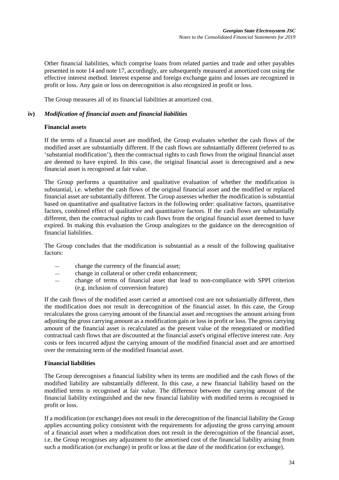Other financial liabilities, which comprise loans from related parties and trade and other payables presented in note 14 and note 17, accordingly, are subsequently measured at amortized cost using the effective interest method. Interest expense and foreign exchange gains and losses are recognized in profit or loss. Any gain or loss on derecognition is also recognized in profit or loss.

The Group measures all of its financial liabilities at amortized cost.

### **iv)** *Modification of financial assets and financial liabilities*

### **Financial assets**

If the terms of a financial asset are modified, the Group evaluates whether the cash flows of the modified asset are substantially different. If the cash flows are substantially different (referred to as 'substantial modification'), then the contractual rights to cash flows from the original financial asset are deemed to have expired. In this case, the original financial asset is derecognised and a new financial asset is recognised at fair value.

The Group performs a quantitative and qualitative evaluation of whether the modification is substantial, i.e. whether the cash flows of the original financial asset and the modified or replaced financial asset are substantially different. The Group assesses whether the modification is substantial based on quantitative and qualitative factors in the following order: qualitative factors, quantitative factors, combined effect of qualitative and quantitative factors. If the cash flows are substantially different, then the contractual rights to cash flows from the original financial asset deemed to have expired. In making this evaluation the Group analogizes to the guidance on the derecognition of financial liabilities.

The Group concludes that the modification is substantial as a result of the following qualitative factors:

- change the currency of the financial asset;
- change in collateral or other credit enhancement;
- \_ change of terms of financial asset that lead to non-compliance with SPPI criterion (e.g. inclusion of conversion feature)

If the cash flows of the modified asset carried at amortised cost are not substantially different, then the modification does not result in derecognition of the financial asset. In this case, the Group recalculates the gross carrying amount of the financial asset and recognises the amount arising from adjusting the gross carrying amount as a modification gain or loss in profit or loss. The gross carrying amount of the financial asset is recalculated as the present value of the renegotiated or modified contractual cash flows that are discounted at the financial asset's original effective interest rate. Any costs or fees incurred adjust the carrying amount of the modified financial asset and are amortised over the remaining term of the modified financial asset.

#### **Financial liabilities**

The Group derecognises a financial liability when its terms are modified and the cash flows of the modified liability are substantially different. In this case, a new financial liability based on the modified terms is recognised at fair value. The difference between the carrying amount of the financial liability extinguished and the new financial liability with modified terms is recognised in profit or loss.

If a modification (or exchange) does not result in the derecognition of the financial liability the Group applies accounting policy consistent with the requirements for adjusting the gross carrying amount of a financial asset when a modification does not result in the derecognition of the financial asset, i.e. the Group recognises any adjustment to the amortised cost of the financial liability arising from such a modification (or exchange) in profit or loss at the date of the modification (or exchange).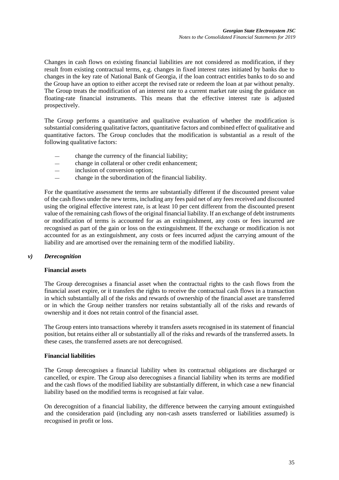Changes in cash flows on existing financial liabilities are not considered as modification, if they result from existing contractual terms, e.g. changes in fixed interest rates initiated by banks due to changes in the key rate of National Bank of Georgia, if the loan contract entitles banks to do so and the Group have an option to either accept the revised rate or redeem the loan at par without penalty. The Group treats the modification of an interest rate to a current market rate using the guidance on floating-rate financial instruments. This means that the effective interest rate is adjusted prospectively.

The Group performs a quantitative and qualitative evaluation of whether the modification is substantial considering qualitative factors, quantitative factors and combined effect of qualitative and quantitative factors. The Group concludes that the modification is substantial as a result of the following qualitative factors:

- change the currency of the financial liability;
- \_ change in collateral or other credit enhancement;
- $-$  inclusion of conversion option;
- \_ change in the subordination of the financial liability.

For the quantitative assessment the terms are substantially different if the discounted present value of the cash flows under the new terms, including any fees paid net of any fees received and discounted using the original effective interest rate, is at least 10 per cent different from the discounted present value of the remaining cash flows of the original financial liability. If an exchange of debt instruments or modification of terms is accounted for as an extinguishment, any costs or fees incurred are recognised as part of the gain or loss on the extinguishment. If the exchange or modification is not accounted for as an extinguishment, any costs or fees incurred adjust the carrying amount of the liability and are amortised over the remaining term of the modified liability.

#### *v) Derecognition*

#### **Financial assets**

The Group derecognises a financial asset when the contractual rights to the cash flows from the financial asset expire, or it transfers the rights to receive the contractual cash flows in a transaction in which substantially all of the risks and rewards of ownership of the financial asset are transferred or in which the Group neither transfers nor retains substantially all of the risks and rewards of ownership and it does not retain control of the financial asset.

The Group enters into transactions whereby it transfers assets recognised in its statement of financial position, but retains either all or substantially all of the risks and rewards of the transferred assets. In these cases, the transferred assets are not derecognised.

#### **Financial liabilities**

The Group derecognises a financial liability when its contractual obligations are discharged or cancelled, or expire. The Group also derecognises a financial liability when its terms are modified and the cash flows of the modified liability are substantially different, in which case a new financial liability based on the modified terms is recognised at fair value.

On derecognition of a financial liability, the difference between the carrying amount extinguished and the consideration paid (including any non-cash assets transferred or liabilities assumed) is recognised in profit or loss.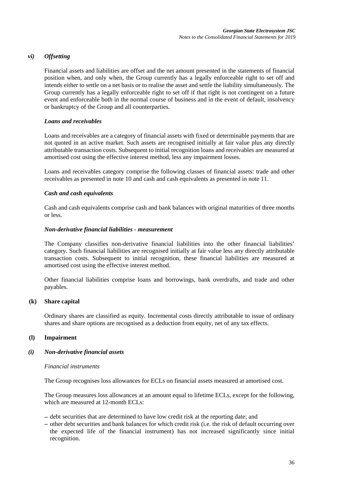### *vi) Offsetting*

Financial assets and liabilities are offset and the net amount presented in the statements of financial position when, and only when, the Group currently has a legally enforceable right to set off and intends either to settle on a net basis or to realise the asset and settle the liability simultaneously. The Group currently has a legally enforceable right to set off if that right is not contingent on a future event and enforceable both in the normal course of business and in the event of default, insolvency or bankruptcy of the Group and all counterparties.

### *Loans and receivables*

Loans and receivables are a category of financial assets with fixed or determinable payments that are not quoted in an active market. Such assets are recognised initially at fair value plus any directly attributable transaction costs. Subsequent to initial recognition loans and receivables are measured at amortised cost using the effective interest method, less any impairment losses.

Loans and receivables category comprise the following classes of financial assets: trade and other receivables as presented in note 10 and cash and cash equivalents as presented in note 11.

### *Cash and cash equivalents*

Cash and cash equivalents comprise cash and bank balances with original maturities of three months or less.

#### *Non-derivative financial liabilities - measurement*

The Company classifies non-derivative financial liabilities into the other financial liabilities' category. Such financial liabilities are recognised initially at fair value less any directly attributable transaction costs. Subsequent to initial recognition, these financial liabilities are measured at amortised cost using the effective interest method.

Other financial liabilities comprise loans and borrowings, bank overdrafts, and trade and other payables.

#### **(k) Share capital**

Ordinary shares are classified as equity. Incremental costs directly attributable to issue of ordinary shares and share options are recognised as a deduction from equity, net of any tax effects.

#### **(l) Impairment**

#### *(i) Non-derivative financial assets*

#### *Financial instruments*

The Group recognises loss allowances for ECLs on financial assets measured at amortised cost.

The Group measures loss allowances at an amount equal to lifetime ECLs, except for the following, which are measured at 12-month ECLs:

- debt securities that are determined to have low credit risk at the reporting date; and
- other debt securities and bank balances for which credit risk (i.e. the risk of default occurring over the expected life of the financial instrument) has not increased significantly since initial recognition.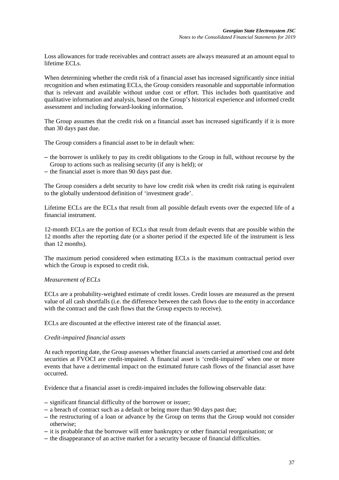Loss allowances for trade receivables and contract assets are always measured at an amount equal to lifetime ECLs.

When determining whether the credit risk of a financial asset has increased significantly since initial recognition and when estimating ECLs, the Group considers reasonable and supportable information that is relevant and available without undue cost or effort. This includes both quantitative and qualitative information and analysis, based on the Group's historical experience and informed credit assessment and including forward-looking information.

The Group assumes that the credit risk on a financial asset has increased significantly if it is more than 30 days past due.

The Group considers a financial asset to be in default when:

- the borrower is unlikely to pay its credit obligations to the Group in full, without recourse by the Group to actions such as realising security (if any is held); or
- the financial asset is more than 90 days past due.

The Group considers a debt security to have low credit risk when its credit risk rating is equivalent to the globally understood definition of 'investment grade'.

Lifetime ECLs are the ECLs that result from all possible default events over the expected life of a financial instrument.

12-month ECLs are the portion of ECLs that result from default events that are possible within the 12 months after the reporting date (or a shorter period if the expected life of the instrument is less than 12 months).

The maximum period considered when estimating ECLs is the maximum contractual period over which the Group is exposed to credit risk.

#### *Measurement of ECLs*

ECLs are a probability-weighted estimate of credit losses. Credit losses are measured as the present value of all cash shortfalls (i.e. the difference between the cash flows due to the entity in accordance with the contract and the cash flows that the Group expects to receive).

ECLs are discounted at the effective interest rate of the financial asset.

#### *Credit-impaired financial assets*

At each reporting date, the Group assesses whether financial assets carried at amortised cost and debt securities at FVOCI are credit-impaired. A financial asset is 'credit-impaired' when one or more events that have a detrimental impact on the estimated future cash flows of the financial asset have occurred.

Evidence that a financial asset is credit-impaired includes the following observable data:

- significant financial difficulty of the borrower or issuer;
- a breach of contract such as a default or being more than 90 days past due;
- the restructuring of a loan or advance by the Group on terms that the Group would not consider otherwise;
- it is probable that the borrower will enter bankruptcy or other financial reorganisation; or
- the disappearance of an active market for a security because of financial difficulties.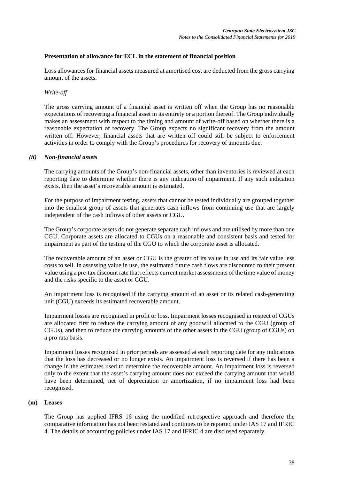### **Presentation of allowance for ECL in the statement of financial position**

Loss allowances for financial assets measured at amortised cost are deducted from the gross carrying amount of the assets.

#### *Write-off*

The gross carrying amount of a financial asset is written off when the Group has no reasonable expectations of recovering a financial asset in its entirety or a portion thereof. The Group individually makes an assessment with respect to the timing and amount of write-off based on whether there is a reasonable expectation of recovery. The Group expects no significant recovery from the amount written off. However, financial assets that are written off could still be subject to enforcement activities in order to comply with the Group's procedures for recovery of amounts due.

#### *(ii) Non-financial assets*

The carrying amounts of the Group's non-financial assets, other than inventories is reviewed at each reporting date to determine whether there is any indication of impairment. If any such indication exists, then the asset's recoverable amount is estimated.

For the purpose of impairment testing, assets that cannot be tested individually are grouped together into the smallest group of assets that generates cash inflows from continuing use that are largely independent of the cash inflows of other assets or CGU.

The Group's corporate assets do not generate separate cash inflows and are utilised by more than one CGU. Corporate assets are allocated to CGUs on a reasonable and consistent basis and tested for impairment as part of the testing of the CGU to which the corporate asset is allocated.

The recoverable amount of an asset or CGU is the greater of its value in use and its fair value less costs to sell. In assessing value in use, the estimated future cash flows are discounted to their present value using a pre-tax discount rate that reflects current market assessments of the time value of money and the risks specific to the asset or CGU.

An impairment loss is recognised if the carrying amount of an asset or its related cash-generating unit (CGU) exceeds its estimated recoverable amount.

Impairment losses are recognised in profit or loss. Impairment losses recognised in respect of CGUs are allocated first to reduce the carrying amount of any goodwill allocated to the CGU (group of CGUs), and then to reduce the carrying amounts of the other assets in the CGU (group of CGUs) on a pro rata basis.

Impairment losses recognised in prior periods are assessed at each reporting date for any indications that the loss has decreased or no longer exists. An impairment loss is reversed if there has been a change in the estimates used to determine the recoverable amount. An impairment loss is reversed only to the extent that the asset's carrying amount does not exceed the carrying amount that would have been determined, net of depreciation or amortization, if no impairment loss had been recognised.

### **(m) Leases**

The Group has applied IFRS 16 using the modified retrospective approach and therefore the comparative information has not been restated and continues to be reported under IAS 17 and IFRIC 4. The details of accounting policies under IAS 17 and IFRIC 4 are disclosed separately.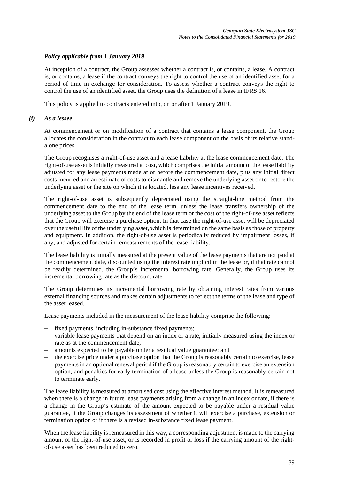# *Policy applicable from 1 January 2019*

At inception of a contract, the Group assesses whether a contract is, or contains, a lease. A contract is, or contains, a lease if the contract conveys the right to control the use of an identified asset for a period of time in exchange for consideration. To assess whether a contract conveys the right to control the use of an identified asset, the Group uses the definition of a lease in IFRS 16.

This policy is applied to contracts entered into, on or after 1 January 2019.

#### *(i) As a lessee*

At commencement or on modification of a contract that contains a lease component, the Group allocates the consideration in the contract to each lease component on the basis of its relative standalone prices.

The Group recognises a right-of-use asset and a lease liability at the lease commencement date. The right-of-use asset is initially measured at cost, which comprises the initial amount of the lease liability adjusted for any lease payments made at or before the commencement date, plus any initial direct costs incurred and an estimate of costs to dismantle and remove the underlying asset or to restore the underlying asset or the site on which it is located, less any lease incentives received.

The right-of-use asset is subsequently depreciated using the straight-line method from the commencement date to the end of the lease term, unless the lease transfers ownership of the underlying asset to the Group by the end of the lease term or the cost of the right-of-use asset reflects that the Group will exercise a purchase option. In that case the right-of-use asset will be depreciated over the useful life of the underlying asset, which is determined on the same basis as those of property and equipment. In addition, the right-of-use asset is periodically reduced by impairment losses, if any, and adjusted for certain remeasurements of the lease liability.

The lease liability is initially measured at the present value of the lease payments that are not paid at the commencement date, discounted using the interest rate implicit in the lease or, if that rate cannot be readily determined, the Group's incremental borrowing rate. Generally, the Group uses its incremental borrowing rate as the discount rate.

The Group determines its incremental borrowing rate by obtaining interest rates from various external financing sources and makes certain adjustments to reflect the terms of the lease and type of the asset leased.

Lease payments included in the measurement of the lease liability comprise the following:

- fixed payments, including in-substance fixed payments;
- variable lease payments that depend on an index or a rate, initially measured using the index or rate as at the commencement date;
- amounts expected to be payable under a residual value guarantee; and
- the exercise price under a purchase option that the Group is reasonably certain to exercise, lease payments in an optional renewal period if the Group is reasonably certain to exercise an extension option, and penalties for early termination of a lease unless the Group is reasonably certain not to terminate early.

The lease liability is measured at amortised cost using the effective interest method. It is remeasured when there is a change in future lease payments arising from a change in an index or rate, if there is a change in the Group's estimate of the amount expected to be payable under a residual value guarantee, if the Group changes its assessment of whether it will exercise a purchase, extension or termination option or if there is a revised in-substance fixed lease payment.

When the lease liability is remeasured in this way, a corresponding adjustment is made to the carrying amount of the right-of-use asset, or is recorded in profit or loss if the carrying amount of the rightof-use asset has been reduced to zero.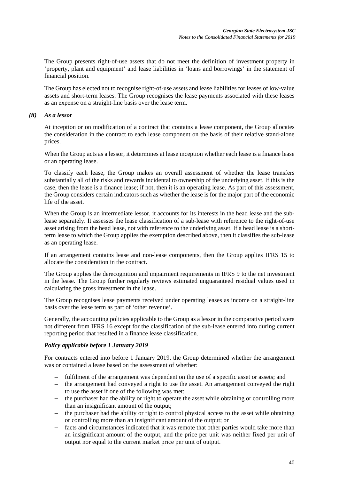The Group presents right-of-use assets that do not meet the definition of investment property in 'property, plant and equipment' and lease liabilities in 'loans and borrowings' in the statement of financial position.

The Group has elected not to recognise right-of-use assets and lease liabilities for leases of low-value assets and short-term leases. The Group recognises the lease payments associated with these leases as an expense on a straight-line basis over the lease term.

### *(ii) As a lessor*

At inception or on modification of a contract that contains a lease component, the Group allocates the consideration in the contract to each lease component on the basis of their relative stand-alone prices.

When the Group acts as a lessor, it determines at lease inception whether each lease is a finance lease or an operating lease.

To classify each lease, the Group makes an overall assessment of whether the lease transfers substantially all of the risks and rewards incidental to ownership of the underlying asset. If this is the case, then the lease is a finance lease; if not, then it is an operating lease. As part of this assessment, the Group considers certain indicators such as whether the lease is for the major part of the economic life of the asset.

When the Group is an intermediate lessor, it accounts for its interests in the head lease and the sublease separately. It assesses the lease classification of a sub-lease with reference to the right-of-use asset arising from the head lease, not with reference to the underlying asset. If a head lease is a shortterm lease to which the Group applies the exemption described above, then it classifies the sub-lease as an operating lease.

If an arrangement contains lease and non-lease components, then the Group applies IFRS 15 to allocate the consideration in the contract.

The Group applies the derecognition and impairment requirements in IFRS 9 to the net investment in the lease. The Group further regularly reviews estimated unguaranteed residual values used in calculating the gross investment in the lease.

The Group recognises lease payments received under operating leases as income on a straight-line basis over the lease term as part of 'other revenue'.

Generally, the accounting policies applicable to the Group as a lessor in the comparative period were not different from IFRS 16 except for the classification of the sub-lease entered into during current reporting period that resulted in a finance lease classification.

# *Policy applicable before 1 January 2019*

For contracts entered into before 1 January 2019, the Group determined whether the arrangement was or contained a lease based on the assessment of whether:

- fulfilment of the arrangement was dependent on the use of a specific asset or assets; and
- the arrangement had conveyed a right to use the asset. An arrangement conveyed the right to use the asset if one of the following was met:
- the purchaser had the ability or right to operate the asset while obtaining or controlling more than an insignificant amount of the output;
- the purchaser had the ability or right to control physical access to the asset while obtaining or controlling more than an insignificant amount of the output; or
- facts and circumstances indicated that it was remote that other parties would take more than an insignificant amount of the output, and the price per unit was neither fixed per unit of output nor equal to the current market price per unit of output.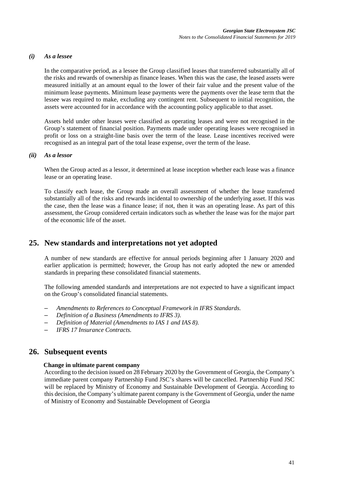#### *(i) As a lessee*

In the comparative period, as a lessee the Group classified leases that transferred substantially all of the risks and rewards of ownership as finance leases. When this was the case, the leased assets were measured initially at an amount equal to the lower of their fair value and the present value of the minimum lease payments. Minimum lease payments were the payments over the lease term that the lessee was required to make, excluding any contingent rent. Subsequent to initial recognition, the assets were accounted for in accordance with the accounting policy applicable to that asset.

Assets held under other leases were classified as operating leases and were not recognised in the Group's statement of financial position. Payments made under operating leases were recognised in profit or loss on a straight-line basis over the term of the lease. Lease incentives received were recognised as an integral part of the total lease expense, over the term of the lease.

### *(ii) As a lessor*

When the Group acted as a lessor, it determined at lease inception whether each lease was a finance lease or an operating lease.

To classify each lease, the Group made an overall assessment of whether the lease transferred substantially all of the risks and rewards incidental to ownership of the underlying asset. If this was the case, then the lease was a finance lease; if not, then it was an operating lease. As part of this assessment, the Group considered certain indicators such as whether the lease was for the major part of the economic life of the asset.

# **25. New standards and interpretations not yet adopted**

A number of new standards are effective for annual periods beginning after 1 January 2020 and earlier application is permitted; however, the Group has not early adopted the new or amended standards in preparing these consolidated financial statements.

The following amended standards and interpretations are not expected to have a significant impact on the Group's consolidated financial statements.

- *Amendments to References to Conceptual Framework in IFRS Standards.*
- *Definition of a Business (Amendments to IFRS 3).*
- *Definition of Material (Amendments to IAS 1 and IAS 8).*
- *IFRS 17 Insurance Contracts.*

# **26. Subsequent events**

#### **Change in ultimate parent company**

According to the decision issued on 28 February 2020 by the Government of Georgia, the Company's immediate parent company Partnership Fund JSC's shares will be cancelled. Partnership Fund JSC will be replaced by Ministry of Economy and Sustainable Development of Georgia. According to this decision, the Company's ultimate parent company is the Government of Georgia, under the name of Ministry of Economy and Sustainable Development of Georgia